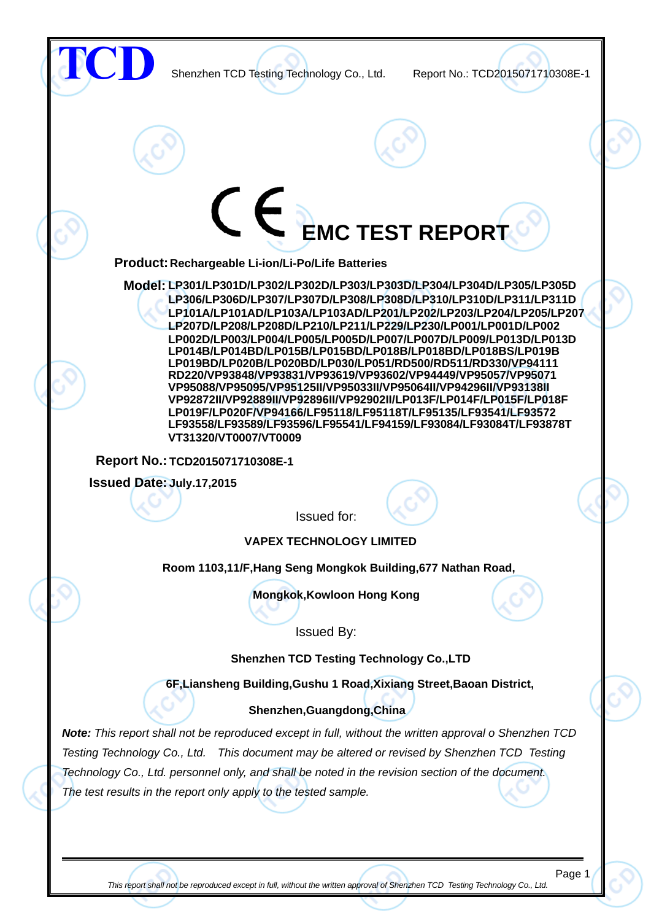

This report shall not be reproduced except in full, without the written approval of Shenzhen TCD Testing Technology Co., Ltd.

Page 1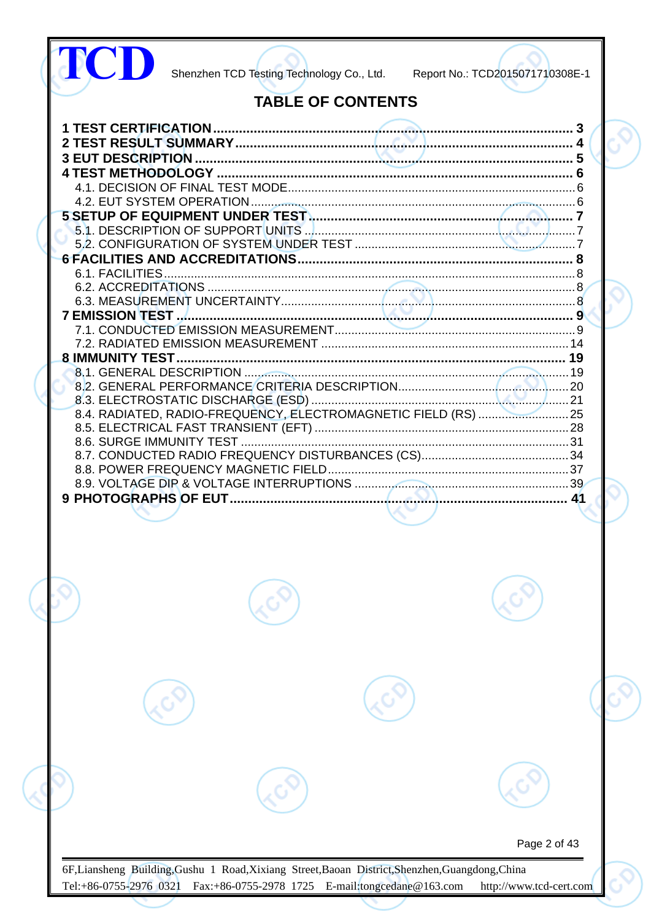| Page 2 of 43 |  | <b>TABLE OF CONTENTS</b> |  |
|--------------|--|--------------------------|--|
|              |  |                          |  |
|              |  |                          |  |
|              |  |                          |  |
|              |  |                          |  |
|              |  |                          |  |
|              |  |                          |  |
|              |  |                          |  |
|              |  |                          |  |
|              |  |                          |  |
|              |  |                          |  |
|              |  |                          |  |
|              |  |                          |  |
|              |  |                          |  |
|              |  |                          |  |
|              |  |                          |  |
|              |  |                          |  |
|              |  |                          |  |
|              |  |                          |  |
|              |  |                          |  |
|              |  |                          |  |
|              |  |                          |  |
|              |  |                          |  |
|              |  |                          |  |
|              |  |                          |  |
|              |  |                          |  |
|              |  |                          |  |
|              |  |                          |  |
|              |  |                          |  |
|              |  |                          |  |
|              |  |                          |  |
|              |  |                          |  |
|              |  |                          |  |
|              |  |                          |  |
|              |  |                          |  |
|              |  |                          |  |
|              |  |                          |  |
|              |  |                          |  |
|              |  |                          |  |
|              |  |                          |  |
|              |  |                          |  |
|              |  |                          |  |
|              |  |                          |  |
|              |  |                          |  |
|              |  |                          |  |
|              |  |                          |  |
|              |  |                          |  |
|              |  |                          |  |
|              |  |                          |  |
|              |  |                          |  |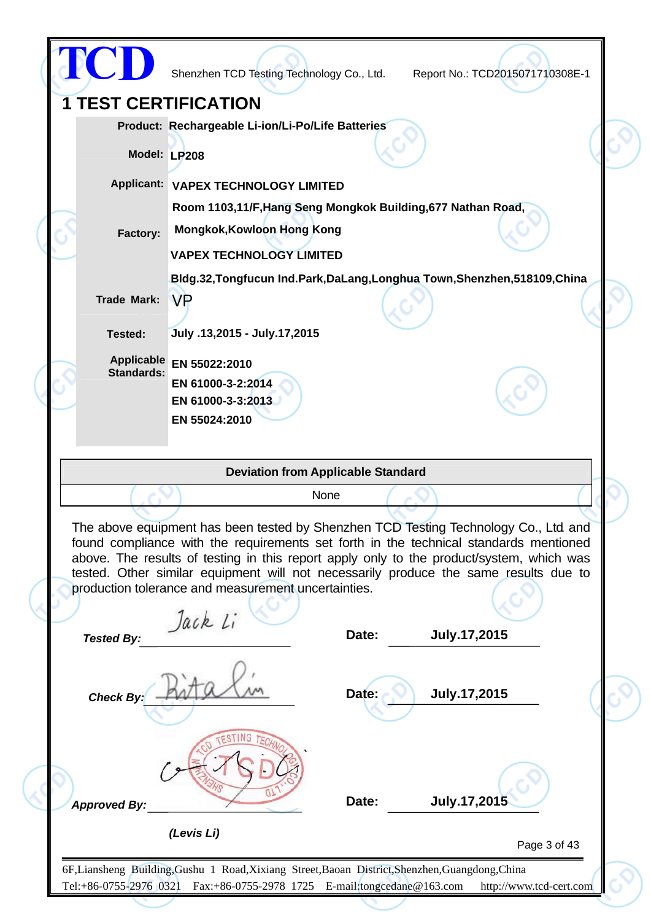|                                        | Shenzhen TCD Testing Technology Co., Ltd.                                                                                                                                                                                                                                                                                                                                                                               |       | Report No.: TCD2015071710308E-1 |  |
|----------------------------------------|-------------------------------------------------------------------------------------------------------------------------------------------------------------------------------------------------------------------------------------------------------------------------------------------------------------------------------------------------------------------------------------------------------------------------|-------|---------------------------------|--|
| <b>1 TEST CERTIFICATION</b>            |                                                                                                                                                                                                                                                                                                                                                                                                                         |       |                                 |  |
|                                        | Product: Rechargeable Li-ion/Li-Po/Life Batteries                                                                                                                                                                                                                                                                                                                                                                       |       |                                 |  |
|                                        | Model: LP208                                                                                                                                                                                                                                                                                                                                                                                                            |       |                                 |  |
|                                        |                                                                                                                                                                                                                                                                                                                                                                                                                         |       |                                 |  |
|                                        | Applicant: VAPEX TECHNOLOGY LIMITED                                                                                                                                                                                                                                                                                                                                                                                     |       |                                 |  |
|                                        | Room 1103,11/F, Hang Seng Mongkok Building, 677 Nathan Road,<br><b>Mongkok, Kowloon Hong Kong</b>                                                                                                                                                                                                                                                                                                                       |       |                                 |  |
| Factory:                               |                                                                                                                                                                                                                                                                                                                                                                                                                         |       |                                 |  |
|                                        | <b>VAPEX TECHNOLOGY LIMITED</b>                                                                                                                                                                                                                                                                                                                                                                                         |       |                                 |  |
| <b>Trade Mark:</b>                     | Bldg.32, Tongfucun Ind.Park, DaLang, Longhua Town, Shenzhen, 518109, China<br><b>VP</b>                                                                                                                                                                                                                                                                                                                                 |       |                                 |  |
|                                        |                                                                                                                                                                                                                                                                                                                                                                                                                         |       |                                 |  |
| Tested:                                | July.13,2015 - July.17,2015                                                                                                                                                                                                                                                                                                                                                                                             |       |                                 |  |
| <b>Applicable</b><br><b>Standards:</b> | EN 55022:2010                                                                                                                                                                                                                                                                                                                                                                                                           |       |                                 |  |
|                                        | EN 61000-3-2:2014                                                                                                                                                                                                                                                                                                                                                                                                       |       |                                 |  |
|                                        |                                                                                                                                                                                                                                                                                                                                                                                                                         |       |                                 |  |
|                                        | EN 61000-3-3:2013                                                                                                                                                                                                                                                                                                                                                                                                       |       |                                 |  |
|                                        | EN 55024:2010                                                                                                                                                                                                                                                                                                                                                                                                           |       |                                 |  |
|                                        |                                                                                                                                                                                                                                                                                                                                                                                                                         |       |                                 |  |
|                                        | <b>Deviation from Applicable Standard</b>                                                                                                                                                                                                                                                                                                                                                                               |       |                                 |  |
|                                        | None                                                                                                                                                                                                                                                                                                                                                                                                                    |       |                                 |  |
|                                        | The above equipment has been tested by Shenzhen TCD Testing Technology Co., Ltd and<br>found compliance with the requirements set forth in the technical standards mentioned<br>above. The results of testing in this report apply only to the product/system, which was<br>tested. Other similar equipment will not necessarily produce the same results due to<br>production tolerance and measurement uncertainties. |       |                                 |  |
| <b>Tested By:</b>                      | Jack Li                                                                                                                                                                                                                                                                                                                                                                                                                 | Date: | July.17,2015                    |  |
| <b>Check By:</b>                       |                                                                                                                                                                                                                                                                                                                                                                                                                         | Date: | July.17,2015                    |  |
| <b>Approved By:</b>                    | (Levis Li)                                                                                                                                                                                                                                                                                                                                                                                                              | Date: | July.17,2015                    |  |

◇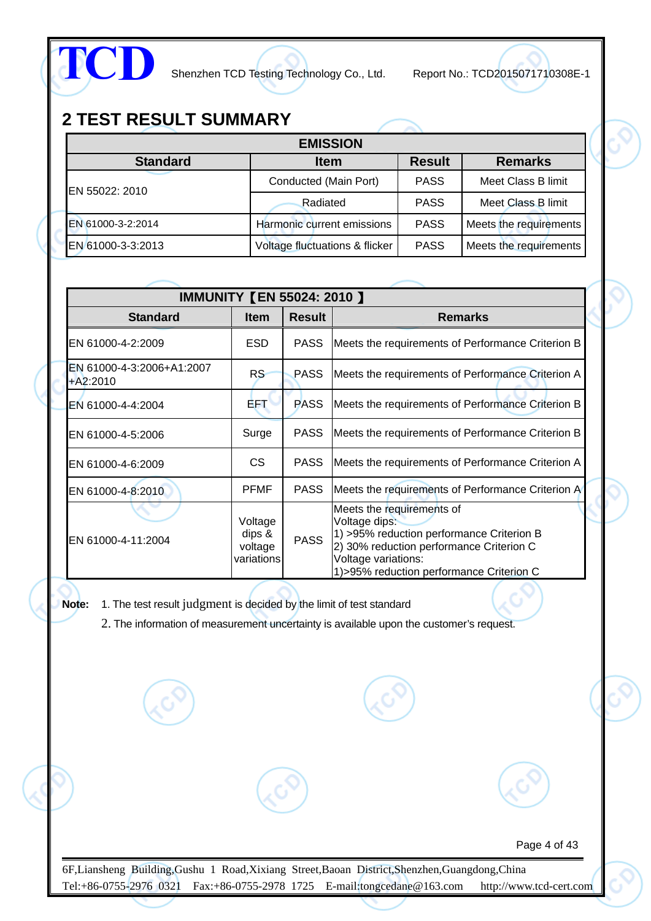

# **2 TEST RESULT SUMMARY**

| <b>EMISSION</b>   |                                |               |                        |  |  |  |  |
|-------------------|--------------------------------|---------------|------------------------|--|--|--|--|
| <b>Standard</b>   | <b>Item</b>                    | <b>Result</b> | <b>Remarks</b>         |  |  |  |  |
| EN 55022: 2010    | Conducted (Main Port)          | <b>PASS</b>   | Meet Class B limit     |  |  |  |  |
|                   | Radiated                       | <b>PASS</b>   | Meet Class B limit     |  |  |  |  |
| EN 61000-3-2:2014 | Harmonic current emissions     | <b>PASS</b>   | Meets the requirements |  |  |  |  |
| EN 61000-3-3:2013 | Voltage fluctuations & flicker | <b>PASS</b>   | Meets the requirements |  |  |  |  |

|                                         | <b>IMMUNITY [EN 55024: 2010 ]</b>          |               |                                                                                                                                                                                                          |  |  |  |  |  |
|-----------------------------------------|--------------------------------------------|---------------|----------------------------------------------------------------------------------------------------------------------------------------------------------------------------------------------------------|--|--|--|--|--|
| <b>Standard</b>                         | <b>Item</b>                                | <b>Result</b> | <b>Remarks</b>                                                                                                                                                                                           |  |  |  |  |  |
| EN 61000-4-2:2009                       | <b>ESD</b>                                 | <b>PASS</b>   | Meets the requirements of Performance Criterion B                                                                                                                                                        |  |  |  |  |  |
| EN 61000-4-3:2006+A1:2007<br>$+A2:2010$ | RS <sup></sup>                             | <b>PASS</b>   | Meets the requirements of Performance Criterion A                                                                                                                                                        |  |  |  |  |  |
| EN 61000-4-4:2004                       | AF T                                       | <b>PASS</b>   | Meets the requirements of Performance Criterion B                                                                                                                                                        |  |  |  |  |  |
| EN 61000-4-5:2006                       | Surge                                      | <b>PASS</b>   | Meets the requirements of Performance Criterion B                                                                                                                                                        |  |  |  |  |  |
| EN 61000-4-6:2009                       | CS.                                        | <b>PASS</b>   | Meets the requirements of Performance Criterion A                                                                                                                                                        |  |  |  |  |  |
| EN 61000-4-8:2010                       | <b>PFMF</b>                                | <b>PASS</b>   | Meets the requirements of Performance Criterion A                                                                                                                                                        |  |  |  |  |  |
| EN 61000-4-11:2004                      | Voltage<br>dips &<br>voltage<br>variations | <b>PASS</b>   | Meets the requirements of<br>Voltage dips:<br>1) >95% reduction performance Criterion B<br>2) 30% reduction performance Criterion C<br>Voltage variations:<br>1) > 95% reduction performance Criterion C |  |  |  |  |  |

**Note:** 1. The test result judgment is decided by the limit of test standard

2. The information of measurement uncertainty is available upon the customer's request.

Page 4 of 43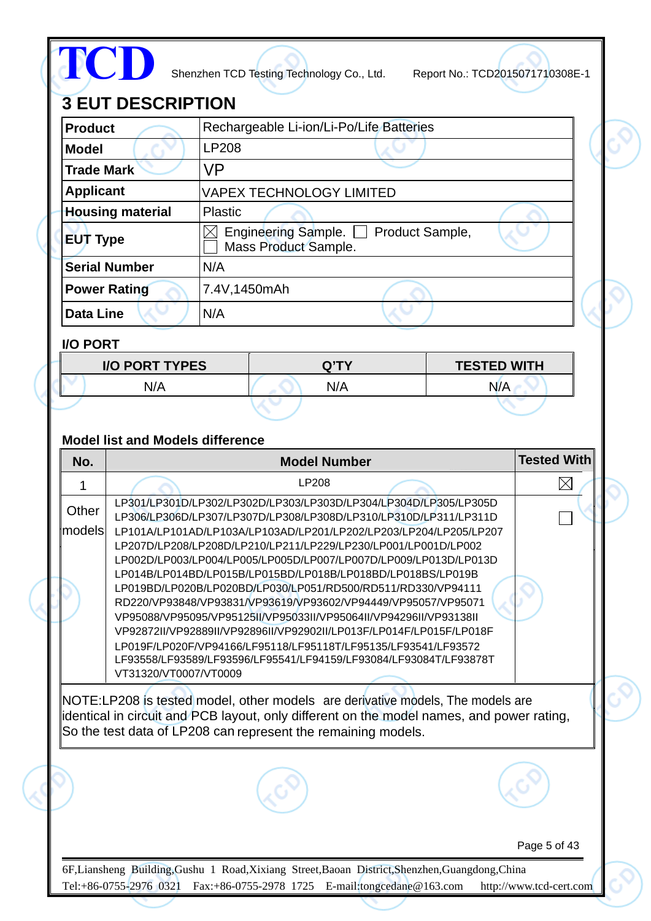

# **3 EUT DESCRIPTION**

| <b>Product</b>          | Rechargeable Li-ion/Li-Po/Life Batteries                       |  |
|-------------------------|----------------------------------------------------------------|--|
| <b>Model</b>            | <b>LP208</b>                                                   |  |
| <b>Trade Mark</b>       | VP                                                             |  |
| <b>Applicant</b>        | <b>VAPEX TECHNOLOGY LIMITED</b>                                |  |
| <b>Housing material</b> | <b>Plastic</b>                                                 |  |
| ∥EUT Type               | Engineering Sample.<br>Product Sample,<br>Mass Product Sample. |  |
| <b>Serial Number</b>    | N/A                                                            |  |
| Power Rating            | 7.4V,1450mAh                                                   |  |
| <b>Data Line</b>        | N/A                                                            |  |

## **I/O PORT**

| <b>I/O PORT TYPES</b> | <b>O'TY</b> | <b>TESTED WITH</b> |
|-----------------------|-------------|--------------------|
| N/A                   | N/A         | N/A                |
|                       |             |                    |

### **Model list and Models difference**

| No.             | <b>Model Number</b>                                                                                                                                                                                                                                                                                                                                                                                                                                                                                                                                                                                                                                                                                                                                                                                                                                         | <b>Tested With</b>      |
|-----------------|-------------------------------------------------------------------------------------------------------------------------------------------------------------------------------------------------------------------------------------------------------------------------------------------------------------------------------------------------------------------------------------------------------------------------------------------------------------------------------------------------------------------------------------------------------------------------------------------------------------------------------------------------------------------------------------------------------------------------------------------------------------------------------------------------------------------------------------------------------------|-------------------------|
| 1               | LP208                                                                                                                                                                                                                                                                                                                                                                                                                                                                                                                                                                                                                                                                                                                                                                                                                                                       |                         |
| Other<br>models | LP301/LP301D/LP302/LP302D/LP303/LP303D/LP304/LP304D/LP305/LP305D<br>LP306/LP306D/LP307/LP307D/LP308/LP308D/LP310/LP310D/LP311/LP311D<br>LP101A/LP101AD/LP103A/LP103AD/LP201/LP202/LP203/LP204/LP205/LP207<br>LP207D/LP208/LP208D/LP210/LP211/LP229/LP230/LP001/LP001D/LP002<br>LP002D/LP003/LP004/LP005/LP005D/LP007/LP007D/LP009/LP013D/LP013D<br>LP014B/LP014BD/LP015B/LP015BD/LP018B/LP018BD/LP018BS/LP019B<br>LP019BD/LP020B/LP020BD/LP030/LP051/RD500/RD511/RD330/VP94111<br>RD220/VP93848/VP93831/VP93619/VP93602/VP94449/VP95057/VP95071<br>VP95088/VP95095/VP95125II/VP95033II/VP95064II/VP94296II/VP93138II<br>VP92872II/VP92889II/VP92896II/VP92902II/LP013F/LP014F/LP015F/LP018F<br>LP019F/LP020F/VP94166/LF95118/LF95118T/LF95135/LF93541/LF93572<br>LF93558/LF93589/LF93596/LF95541/LF94159/LF93084/LF93084T/LF93878T<br>VT31320/VT0007/VT0009 |                         |
|                 | NOTE:LP208 is tested model, other models are derivative models, The models are<br>identical in circuit and PCB layout, only different on the model names, and power rating,<br>So the test data of LP208 can represent the remaining models.                                                                                                                                                                                                                                                                                                                                                                                                                                                                                                                                                                                                                |                         |
|                 |                                                                                                                                                                                                                                                                                                                                                                                                                                                                                                                                                                                                                                                                                                                                                                                                                                                             |                         |
|                 |                                                                                                                                                                                                                                                                                                                                                                                                                                                                                                                                                                                                                                                                                                                                                                                                                                                             | Page 5 of 43            |
|                 | 6F, Liansheng Building, Gushu 1 Road, Xixiang Street, Baoan District, Shenzhen, Guangdong, China<br>Tel:+86-0755-2976 0321 Fax:+86-0755-2978 1725 E-mail:tongcedane@163.com                                                                                                                                                                                                                                                                                                                                                                                                                                                                                                                                                                                                                                                                                 | http://www.tcd-cert.com |
|                 |                                                                                                                                                                                                                                                                                                                                                                                                                                                                                                                                                                                                                                                                                                                                                                                                                                                             |                         |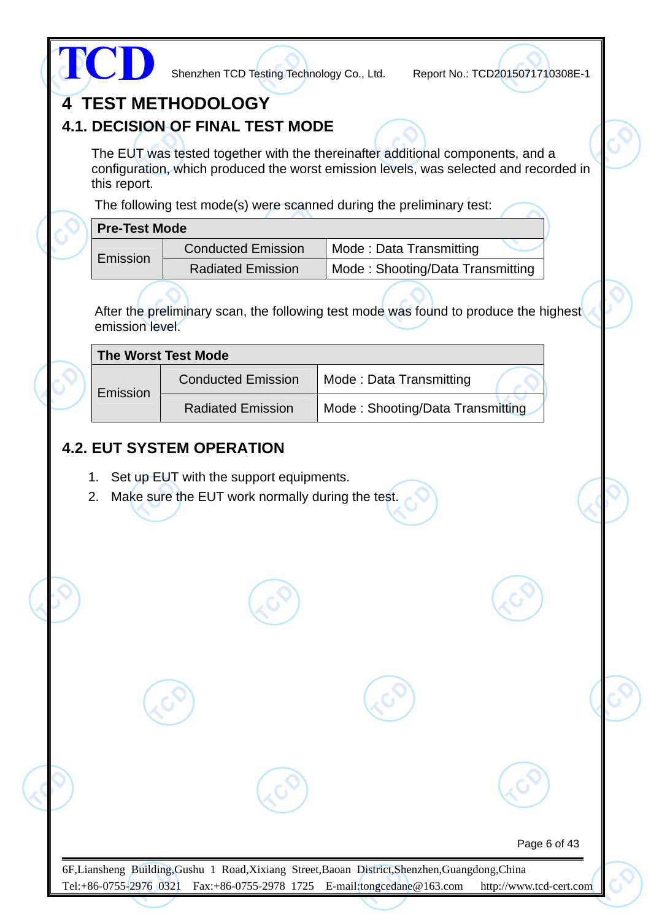|                      |                                                                                                                                                                | configuration, which produced the worst emission levels, was selected and recorded in |  |
|----------------------|----------------------------------------------------------------------------------------------------------------------------------------------------------------|---------------------------------------------------------------------------------------|--|
| this report.         |                                                                                                                                                                | The following test mode(s) were scanned during the preliminary test:                  |  |
| <b>Pre-Test Mode</b> |                                                                                                                                                                |                                                                                       |  |
| Emission             | <b>Conducted Emission</b>                                                                                                                                      | Mode: Data Transmitting                                                               |  |
|                      | <b>Radiated Emission</b>                                                                                                                                       | Mode: Shooting/Data Transmitting                                                      |  |
| emission level.      |                                                                                                                                                                | After the preliminary scan, the following test mode was found to produce the highest  |  |
|                      | <b>The Worst Test Mode</b>                                                                                                                                     |                                                                                       |  |
|                      | <b>Conducted Emission</b>                                                                                                                                      | Mode: Data Transmitting                                                               |  |
| Emission             |                                                                                                                                                                |                                                                                       |  |
| 2.                   | <b>Radiated Emission</b><br><b>4.2. EUT SYSTEM OPERATION</b><br>1. Set up EUT with the support equipments.<br>Make sure the EUT work normally during the test. | Mode: Shooting/Data Transmitting                                                      |  |
|                      |                                                                                                                                                                |                                                                                       |  |
|                      |                                                                                                                                                                |                                                                                       |  |
|                      |                                                                                                                                                                |                                                                                       |  |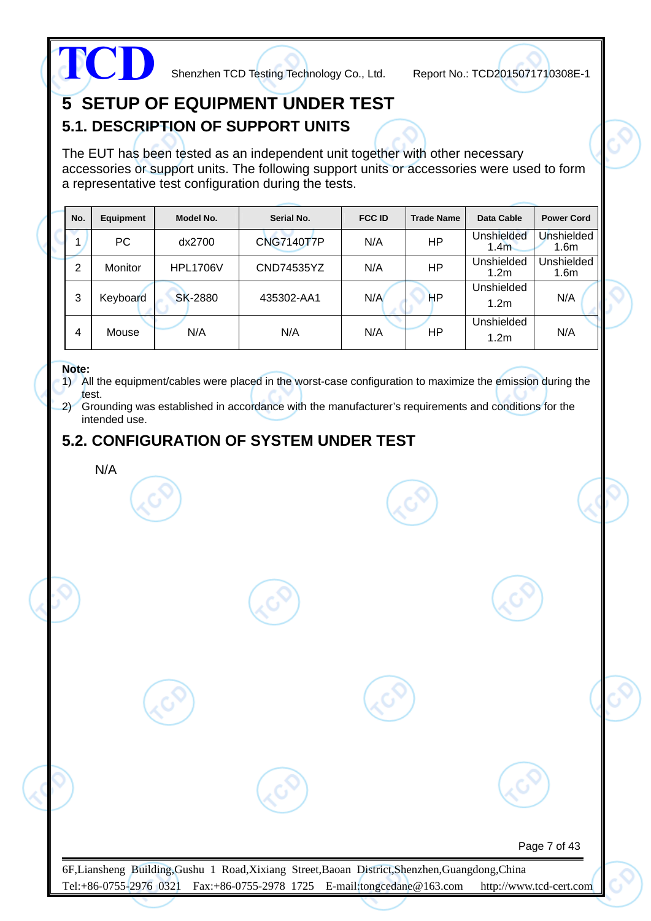

## **5 SETUP OF EQUIPMENT UNDER TEST 5.1. DESCRIPTION OF SUPPORT UNITS**

The EUT has been tested as an independent unit together with other necessary accessories or support units. The following support units or accessories were used to form a representative test configuration during the tests.

| No. | Equipment      | Model No.       | Serial No.        | <b>FCC ID</b> | <b>Trade Name</b> | Data Cable                            | <b>Power Cord</b>              |
|-----|----------------|-----------------|-------------------|---------------|-------------------|---------------------------------------|--------------------------------|
|     | PC             | dx2700          | <b>CNG7140T7P</b> | N/A           | HP                | <b>Unshielded</b><br>1.4 <sub>m</sub> | Unshielded<br>1.6 <sub>m</sub> |
| 2   | <b>Monitor</b> | <b>HPL1706V</b> | CND74535YZ        | N/A           | <b>HP</b>         | Unshielded<br>1.2 <sub>m</sub>        | Unshielded<br>1.6 <sub>m</sub> |
| 3   | Keyboard       | <b>SK-2880</b>  | 435302-AA1        | N/A           | HP                | Unshielded<br>1.2 <sub>m</sub>        | N/A                            |
| 4   | Mouse          | N/A             | N/A               | N/A           | ΗP                | Unshielded<br>1.2 <sub>m</sub>        | N/A                            |

#### **Note:**

1) All the equipment/cables were placed in the worst-case configuration to maximize the emission during the test.

2) Grounding was established in accordance with the manufacturer's requirements and conditions for the intended use.

## **5.2. CONFIGURATION OF SYSTEM UNDER TEST**

N/A

Page 7 of 43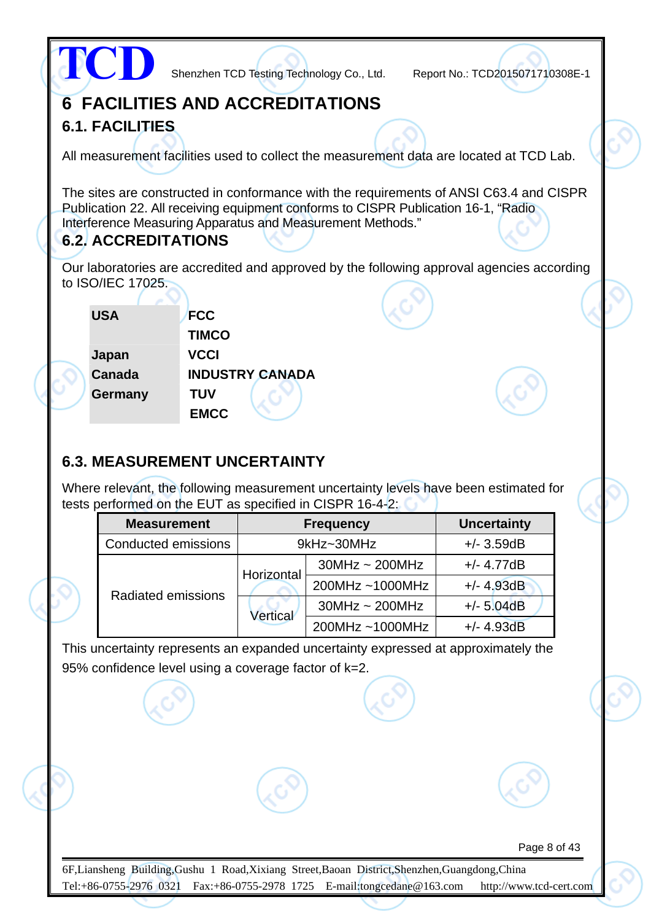|                                        |              |                        | Shenzhen TCD Testing Technology Co., Ltd.                                                                                                                                                                                                  | Report No.: TCD2015071710308E-1 |  |
|----------------------------------------|--------------|------------------------|--------------------------------------------------------------------------------------------------------------------------------------------------------------------------------------------------------------------------------------------|---------------------------------|--|
| <b>6 FACILITIES AND ACCREDITATIONS</b> |              |                        |                                                                                                                                                                                                                                            |                                 |  |
| <b>6.1. FACILITIES</b>                 |              |                        |                                                                                                                                                                                                                                            |                                 |  |
|                                        |              |                        | All measurement facilities used to collect the measurement data are located at TCD Lab.                                                                                                                                                    |                                 |  |
| <b>6.2. ACCREDITATIONS</b>             |              |                        | The sites are constructed in conformance with the requirements of ANSI C63.4 and CISPR<br>Publication 22. All receiving equipment conforms to CISPR Publication 16-1, "Radio<br>Interference Measuring Apparatus and Measurement Methods." |                                 |  |
|                                        |              |                        | Our laboratories are accredited and approved by the following approval agencies according                                                                                                                                                  |                                 |  |
| to ISO/IEC 17025.                      |              |                        |                                                                                                                                                                                                                                            |                                 |  |
| <b>USA</b>                             | <b>FCC</b>   |                        |                                                                                                                                                                                                                                            |                                 |  |
|                                        | <b>TIMCO</b> |                        |                                                                                                                                                                                                                                            |                                 |  |
| Japan                                  | <b>VCCI</b>  |                        |                                                                                                                                                                                                                                            |                                 |  |
| Canada                                 |              | <b>INDUSTRY CANADA</b> |                                                                                                                                                                                                                                            |                                 |  |
| Germany                                | <b>TUV</b>   |                        |                                                                                                                                                                                                                                            |                                 |  |
|                                        | <b>EMCC</b>  |                        |                                                                                                                                                                                                                                            |                                 |  |
| <b>6.3. MEASUREMENT UNCERTAINTY</b>    |              |                        | Where relevant, the following measurement uncertainty levels have been estimated for<br>tests performed on the EUT as specified in CISPR 16-4-2:                                                                                           |                                 |  |
| <b>Measurement</b>                     |              |                        | <b>Frequency</b>                                                                                                                                                                                                                           | <b>Uncertainty</b>              |  |
| Conducted emissions                    |              |                        | 9kHz~30MHz                                                                                                                                                                                                                                 | $+/- 3.59dB$                    |  |
|                                        |              |                        | $30MHz \sim 200MHz$                                                                                                                                                                                                                        | $+/- 4.77dB$                    |  |
|                                        |              | Horizontal             | 200MHz~1000MHz                                                                                                                                                                                                                             | $+/- 4.93dB$                    |  |
| <b>Radiated emissions</b>              |              |                        | $30MHz \sim 200MHz$                                                                                                                                                                                                                        | $+/- 5.04dB$                    |  |
|                                        |              | <b>Vertical</b>        | 200MHz~1000MHz                                                                                                                                                                                                                             | $+/- 4.93dB$                    |  |
|                                        |              |                        | This uncertainty represents an expanded uncertainty expressed at approximately the                                                                                                                                                         |                                 |  |

95% confidence level using a coverage factor of k=2.

Page 8 of 43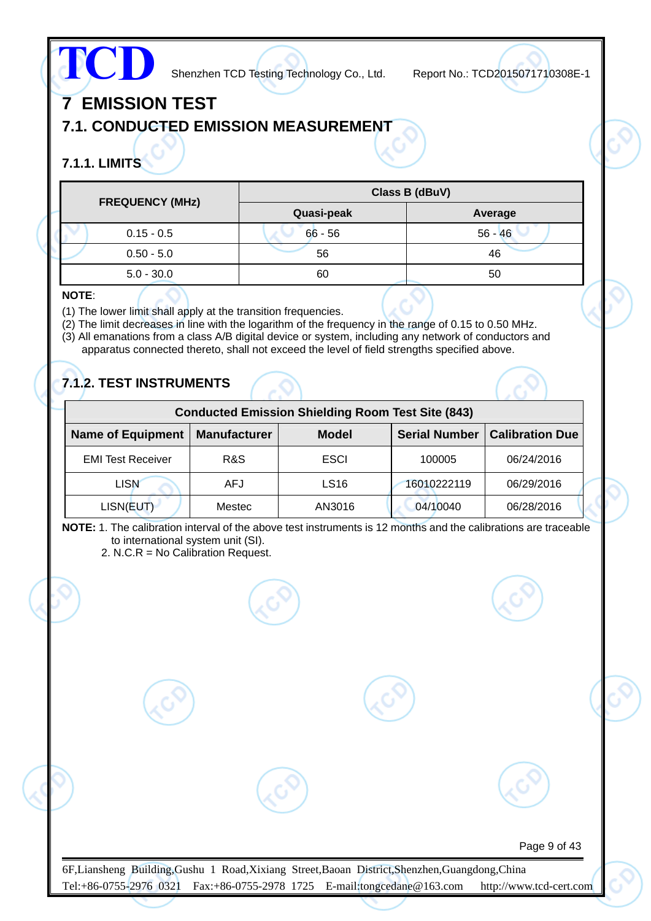# **TCD**

Shenzhen TCD Testing Technology Co., Ltd. Report No.: TCD2015071710308E-1

Page 9 of 43

# **7 EMISSION TEST**

## **7.1. CONDUCTED EMISSION MEASUREMENT**

## **7.1.1. LIMITS**

| <b>FREQUENCY (MHz)</b> | Class B (dBuV) |           |  |  |
|------------------------|----------------|-----------|--|--|
|                        | Quasi-peak     | Average   |  |  |
| $0.15 - 0.5$           | $66 - 56$      | $56 - 46$ |  |  |
| $0.50 - 5.0$           | 56             | 46        |  |  |
| $5.0 - 30.0$           | 60             | 50        |  |  |

#### **NOTE**:

- (1) The lower limit shall apply at the transition frequencies.
- (2) The limit decreases in line with the logarithm of the frequency in the range of 0.15 to 0.50 MHz.
- (3) All emanations from a class A/B digital device or system, including any network of conductors and apparatus connected thereto, shall not exceed the level of field strengths specified above.

## **7.1.2. TEST INSTRUMENTS**

| <b>Conducted Emission Shielding Room Test Site (843)</b>                                                          |            |                  |             |            |  |  |  |  |
|-------------------------------------------------------------------------------------------------------------------|------------|------------------|-------------|------------|--|--|--|--|
| <b>Calibration Due</b><br><b>Serial Number</b><br><b>Name of Equipment</b><br><b>Manufacturer</b><br><b>Model</b> |            |                  |             |            |  |  |  |  |
| <b>EMI Test Receiver</b>                                                                                          | R&S        | <b>ESCI</b>      | 100005      | 06/24/2016 |  |  |  |  |
| <b>LISN</b>                                                                                                       | <b>AFJ</b> | LS <sub>16</sub> | 16010222119 | 06/29/2016 |  |  |  |  |
| LISN(EUT)                                                                                                         | Mestec     | AN3016           | 04/10040    | 06/28/2016 |  |  |  |  |

**NOTE:** 1. The calibration interval of the above test instruments is 12 months and the calibrations are traceable to international system unit (SI).

2. N.C.R = No Calibration Request.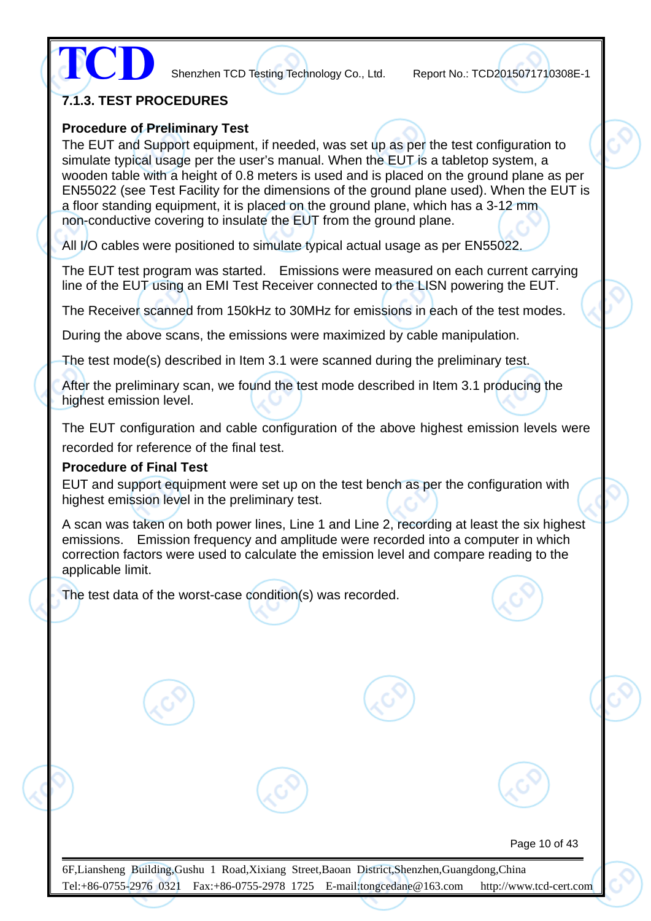**TCD**

Shenzhen TCD Testing Technology Co., Ltd. Report No.: TCD2015071710308E-1

#### **7.1.3. TEST PROCEDURES**

#### **Procedure of Preliminary Test**

The EUT and Support equipment, if needed, was set up as per the test configuration to simulate typical usage per the user's manual. When the EUT is a tabletop system, a wooden table with a height of 0.8 meters is used and is placed on the ground plane as per EN55022 (see Test Facility for the dimensions of the ground plane used). When the EUT is a floor standing equipment, it is placed on the ground plane, which has a 3-12 mm non-conductive covering to insulate the EUT from the ground plane.

All I/O cables were positioned to simulate typical actual usage as per EN55022.

The EUT test program was started. Emissions were measured on each current carrying line of the EUT using an EMI Test Receiver connected to the LISN powering the EUT.

The Receiver scanned from 150kHz to 30MHz for emissions in each of the test modes.

During the above scans, the emissions were maximized by cable manipulation.

The test mode(s) described in Item 3.1 were scanned during the preliminary test.

After the preliminary scan, we found the test mode described in Item 3.1 producing the highest emission level.

The EUT configuration and cable configuration of the above highest emission levels were recorded for reference of the final test.

#### **Procedure of Final Test**

EUT and support equipment were set up on the test bench as per the configuration with highest emission level in the preliminary test.

A scan was taken on both power lines, Line 1 and Line 2, recording at least the six highest emissions. Emission frequency and amplitude were recorded into a computer in which correction factors were used to calculate the emission level and compare reading to the applicable limit.

The test data of the worst-case condition(s) was recorded.

Page 10 of 43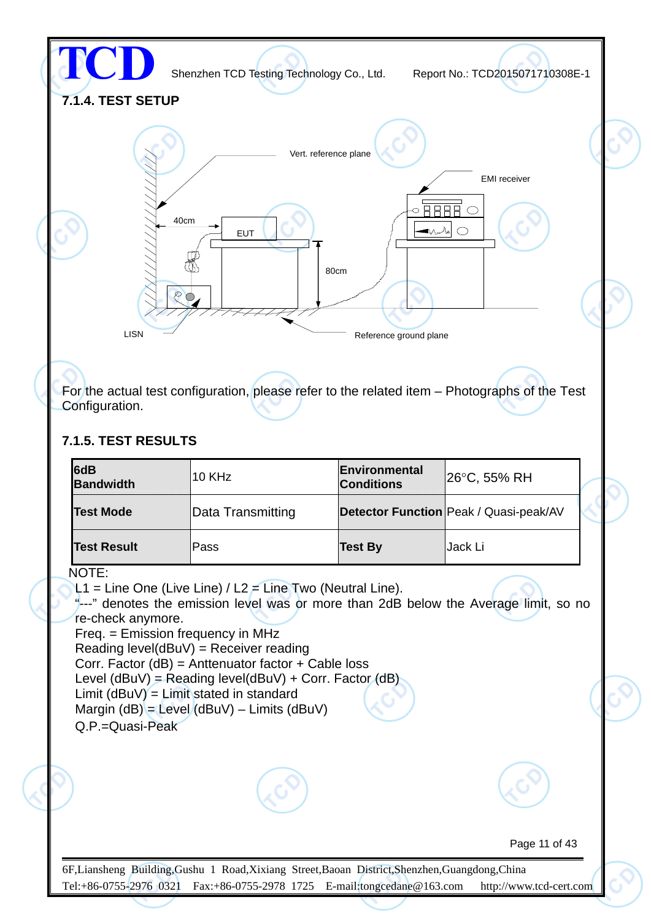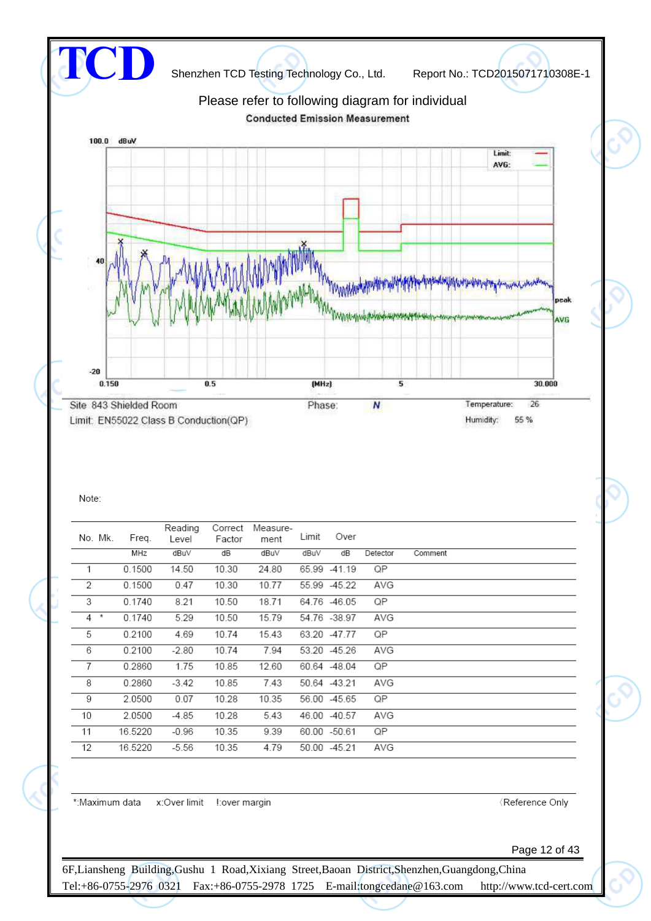

#### Note:

|                | No. Mk. | Freq.   | Reading<br>Level | Correct<br>Factor | Measure-<br>ment | Limit | Over         |          |         |
|----------------|---------|---------|------------------|-------------------|------------------|-------|--------------|----------|---------|
|                |         | MHz     | dBu∨             | dB                | dBuV             | dBuV  | dB           | Detector | Comment |
| 1              |         | 0.1500  | 14.50            | 10.30             | 24.80            |       | 65.99 -41.19 | QP       |         |
| $\overline{2}$ |         | 0.1500  | 0.47             | 10.30             | 10.77            |       | 55.99 -45.22 | AVG      |         |
| 3              |         | 0.1740  | 8.21             | 10.50             | 18.71            |       | 64.76 -46.05 | QP       |         |
| $4 *$          |         | 0.1740  | 5.29             | 10.50             | 15.79            |       | 54.76 -38.97 | AVG      |         |
| 5              |         | 0.2100  | 4.69             | 10.74             | 15.43            |       | 63.20 -47.77 | QP       |         |
| 6              |         | 0.2100  | $-2.80$          | 10.74             | 7.94             |       | 53.20 -45.26 | AVG      |         |
| $\overline{7}$ |         | 0.2860  | 1.75             | 10.85             | 12.60            |       | 60.64 -48.04 | QP       |         |
| 8              |         | 0.2860  | $-3.42$          | 10.85             | 7.43             |       | 50.64 -43.21 | AVG      |         |
| 9              |         | 2.0500  | 0.07             | 10.28             | 10.35            |       | 56.00 -45.65 | QP       |         |
| 10             |         | 2.0500  | $-4.85$          | 10.28             | 5.43             |       | 46.00 -40.57 | AVG      |         |
| 11             |         | 16.5220 | $-0.96$          | 10.35             | 9.39             |       | 60.00 -50.61 | QP       |         |
| 12             |         | 16.5220 | $-5.56$          | 10.35             | 4.79             |       | 50.00 -45.21 | AVG      |         |

\*: Maximum data x: Over limit l: over margin

Reference Only

Page 12 of 43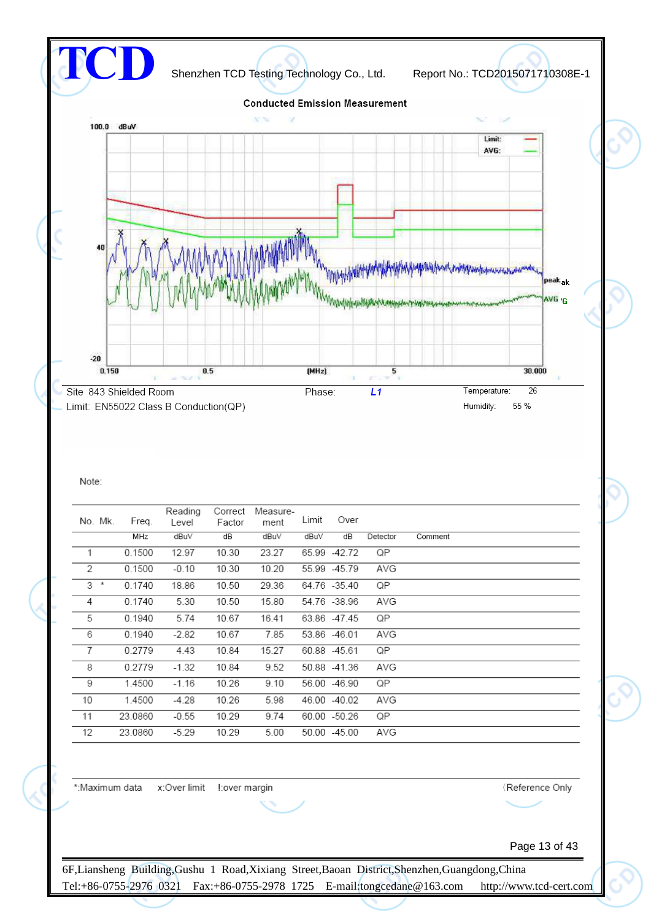

#### Note:

| No. Mk.        | Freq.   | Reading<br>Level | Correct<br>Factor | Measure-<br>ment | Limit | Over         |          |         |
|----------------|---------|------------------|-------------------|------------------|-------|--------------|----------|---------|
|                | MHz     | dBuV             | dB                | dBuV             | dBuV  | dB           | Detector | Comment |
| 1              | 0.1500  | 12.97            | 10.30             | 23.27            |       | 65.99 -42.72 | QP       |         |
| 2              | 0.1500  | $-0.10$          | 10.30             | 10.20            |       | 55.99 -45.79 | AVG      |         |
| $3 *$          | 0.1740  | 18.86            | 10.50             | 29.36            |       | 64.76 -35.40 | QP       |         |
| 4              | 0.1740  | 5.30             | 10.50             | 15.80            |       | 54.76 -38.96 | AVG      |         |
| 5              | 0.1940  | 5.74             | 10.67             | 16.41            |       | 63.86 -47.45 | QP       |         |
| 6              | 0.1940  | $-2.82$          | 10.67             | 7.85             |       | 53.86 -46.01 | AVG      |         |
| $\overline{7}$ | 0.2779  | 4.43             | 10.84             | 15.27            |       | 60.88 -45.61 | QP       |         |
| 8              | 0.2779  | $-1.32$          | 10.84             | 9.52             |       | 50.88 -41.36 | AVG      |         |
| 9              | 1.4500  | $-1.16$          | 10.26             | 9.10             |       | 56.00 -46.90 | QP       |         |
| 10             | 1.4500  | $-4.28$          | 10.26             | 5.98             |       | 46.00 -40.02 | AVG      |         |
| 11             | 23.0860 | $-0.55$          | 10.29             | 9.74             |       | 60.00 -50.26 | QP       |         |
| 12             | 23.0860 | $-5.29$          | 10.29             | 5.00             |       | 50.00 -45.00 | AVG      |         |

\*:Maximum data 

Reference Only

Page 13 of 43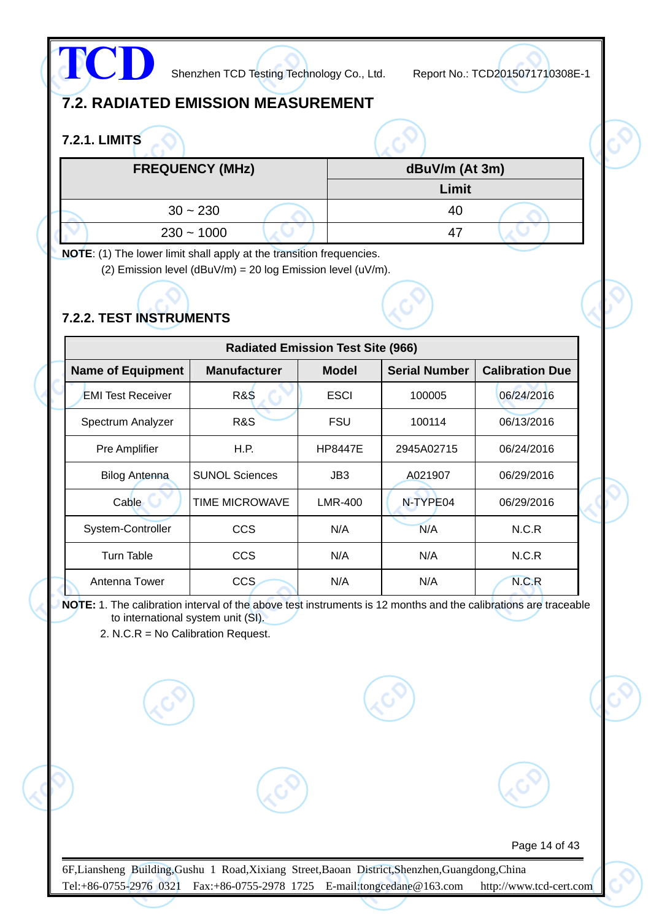

## **7.2. RADIATED EMISSION MEASUREMENT**

## **7.2.1. LIMITS**

| <b>FREQUENCY (MHz)</b> | dBuV/m (At 3m) |
|------------------------|----------------|
|                        | Limit          |
| $30 - 230$             | 40             |
| $230 - 1000$           | 47             |

**NOTE**: (1) The lower limit shall apply at the transition frequencies.

(2) Emission level (dBuV/m) = 20 log Emission level (uV/m).

## **7.2.2. TEST INSTRUMENTS**

|                          |                       | <b>Radiated Emission Test Site (966)</b> |                      |                        |
|--------------------------|-----------------------|------------------------------------------|----------------------|------------------------|
| <b>Name of Equipment</b> | <b>Manufacturer</b>   | <b>Model</b>                             | <b>Serial Number</b> | <b>Calibration Due</b> |
| <b>EMI Test Receiver</b> | <b>R&amp;S</b>        | <b>ESCI</b>                              | 100005               | 06/24/2016             |
| Spectrum Analyzer        | R&S                   | FSU                                      | 100114               | 06/13/2016             |
| Pre Amplifier            | H.P.                  | <b>HP8447E</b>                           | 2945A02715           | 06/24/2016             |
| <b>Bilog Antenna</b>     | <b>SUNOL Sciences</b> | JB3                                      | A021907              | 06/29/2016             |
| Cable                    | <b>TIME MICROWAVE</b> | <b>LMR-400</b>                           | N-TYPE04             | 06/29/2016             |
| System-Controller        | CCS                   | N/A                                      | N/A                  | N.C.R                  |
| Turn Table               | <b>CCS</b>            | N/A                                      | N/A                  | N.C.R                  |
| Antenna Tower            | <b>CCS</b>            | N/A                                      | N/A                  | N.C.R                  |

**NOTE:** 1. The calibration interval of the above test instruments is 12 months and the calibrations are traceable to international system unit (SI).

2. N.C.R = No Calibration Request.

Page 14 of 43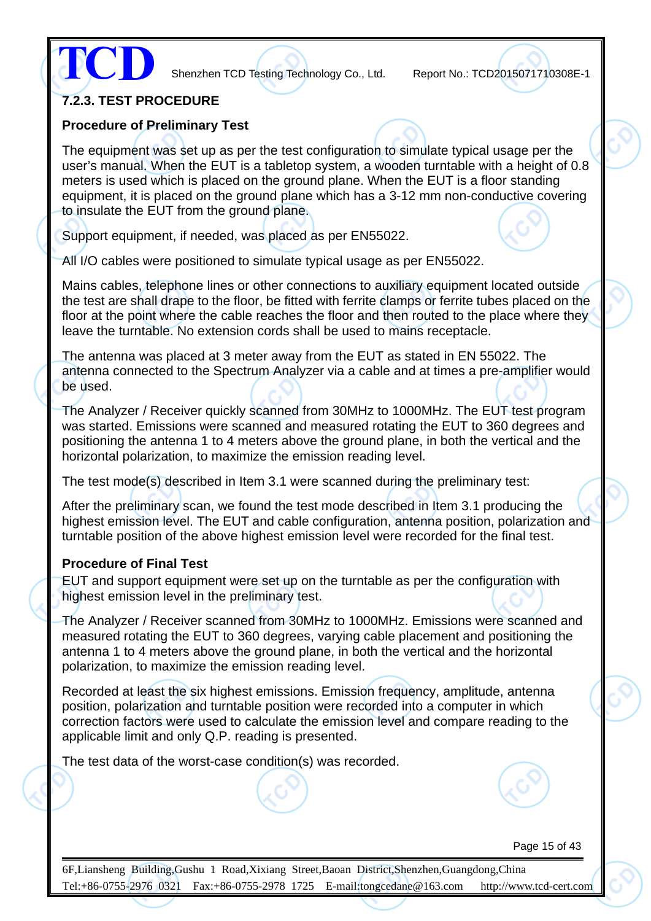

#### **7.2.3. TEST PROCEDURE**

#### **Procedure of Preliminary Test**

The equipment was set up as per the test configuration to simulate typical usage per the user's manual. When the EUT is a tabletop system, a wooden turntable with a height of 0.8 meters is used which is placed on the ground plane. When the EUT is a floor standing equipment, it is placed on the ground plane which has a 3-12 mm non-conductive covering to insulate the EUT from the ground plane.

Support equipment, if needed, was placed as per EN55022.

All I/O cables were positioned to simulate typical usage as per EN55022.

Mains cables, telephone lines or other connections to auxiliary equipment located outside the test are shall drape to the floor, be fitted with ferrite clamps or ferrite tubes placed on the floor at the point where the cable reaches the floor and then routed to the place where they leave the turntable. No extension cords shall be used to mains receptacle.

The antenna was placed at 3 meter away from the EUT as stated in EN 55022. The antenna connected to the Spectrum Analyzer via a cable and at times a pre-amplifier would be used.

The Analyzer / Receiver quickly scanned from 30MHz to 1000MHz. The EUT test program was started. Emissions were scanned and measured rotating the EUT to 360 degrees and positioning the antenna 1 to 4 meters above the ground plane, in both the vertical and the horizontal polarization, to maximize the emission reading level.

The test mode(s) described in Item 3.1 were scanned during the preliminary test:

After the preliminary scan, we found the test mode described in Item 3.1 producing the highest emission level. The EUT and cable configuration, antenna position, polarization and turntable position of the above highest emission level were recorded for the final test.

#### **Procedure of Final Test**

EUT and support equipment were set up on the turntable as per the configuration with highest emission level in the preliminary test.

The Analyzer / Receiver scanned from 30MHz to 1000MHz. Emissions were scanned and measured rotating the EUT to 360 degrees, varying cable placement and positioning the antenna 1 to 4 meters above the ground plane, in both the vertical and the horizontal polarization, to maximize the emission reading level.

Recorded at least the six highest emissions. Emission frequency, amplitude, antenna position, polarization and turntable position were recorded into a computer in which correction factors were used to calculate the emission level and compare reading to the applicable limit and only Q.P. reading is presented.

The test data of the worst-case condition(s) was recorded.

Page 15 of 43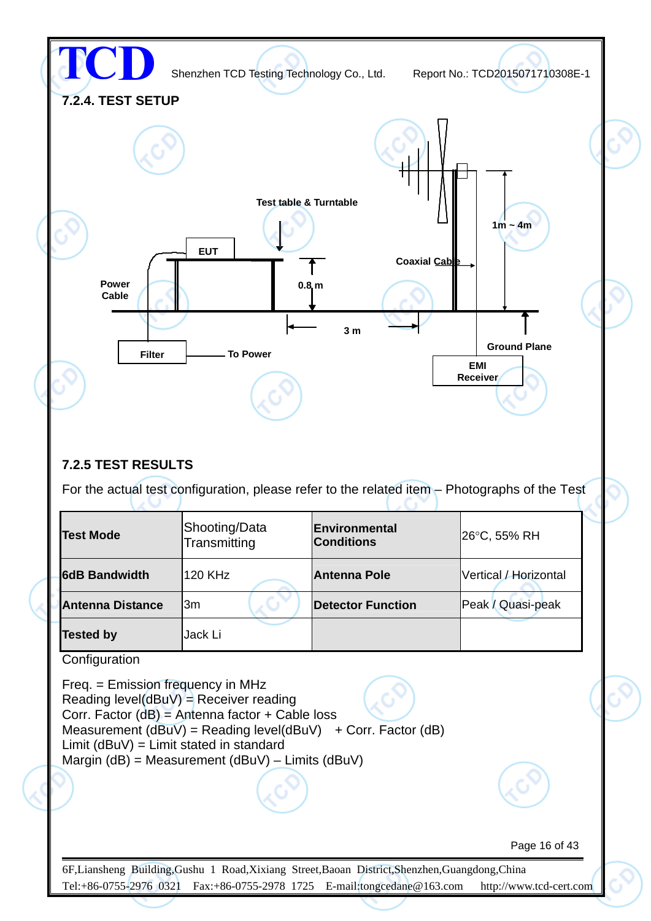

#### **7.2.5 TEST RESULTS**

しい

For the actual test configuration, please refer to the related item – Photographs of the Test

UG

| <b>Test Mode</b>        | Shooting/Data<br>Transmitting | Environmental<br><b>Conditions</b> | 26°C, 55% RH          |
|-------------------------|-------------------------------|------------------------------------|-----------------------|
| <b>6dB Bandwidth</b>    | <b>120 KHz</b>                | <b>Antenna Pole</b>                | Vertical / Horizontal |
| <b>Antenna Distance</b> | l3m                           | <b>Detector Function</b>           | Peak / Quasi-peak     |
| <b>Tested by</b>        | Jack Li                       |                                    |                       |

**Configuration** 

Freq. = Emission frequency in MHz Reading level( $dBuV$ ) = Receiver reading Corr. Factor (dB) = Antenna factor + Cable loss Measurement  $(dBuV) = Reading level(dBuV) + Corr. Factor (dB)$ Limit (dBuV) = Limit stated in standard Margin (dB) = Measurement (dBuV) – Limits (dBuV)

Page 16 of 43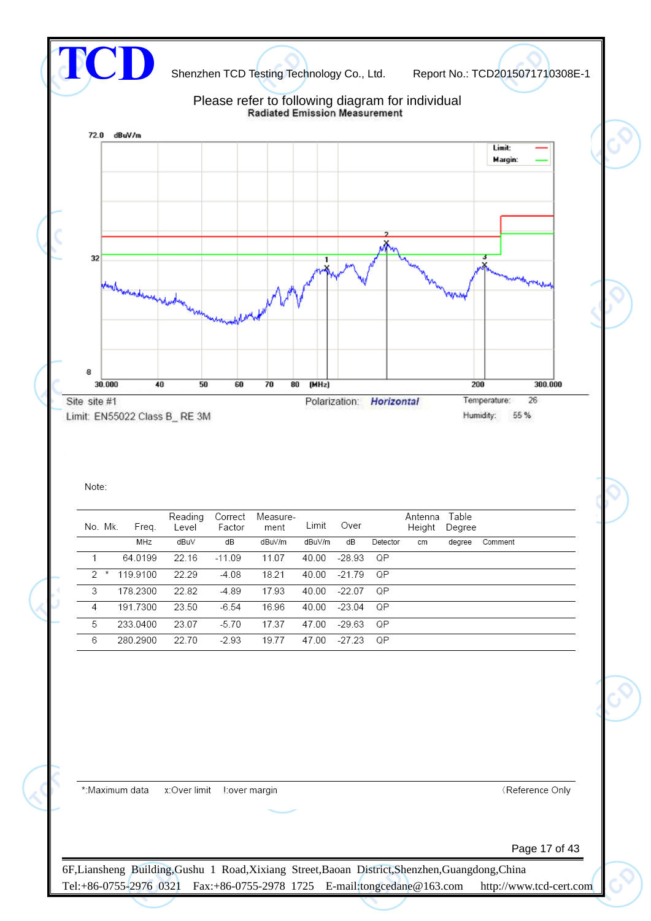

#### Note:

| No. Mk.       |   | Freq.    | Reading<br>Level | Correct<br>Factor | Measure-<br>ment | Limit  | Over     |          | Antenna<br>Height | Table<br>Degree |         |
|---------------|---|----------|------------------|-------------------|------------------|--------|----------|----------|-------------------|-----------------|---------|
|               |   | MHz      | dBuV             | dB                | dBuV/m           | dBuV/m | dB       | Detector | cm                | dearee          | Comment |
|               |   | 64.0199  | 22.16            | $-11.09$          | 11.07            | 40.00  | -28.93   | QP       |                   |                 |         |
| $\mathcal{D}$ | × | 119.9100 | 22.29            | $-4.08$           | 18.21            | 40.00  | -21.79   | ΩP       |                   |                 |         |
| 3             |   | 178.2300 | 22.82            | $-4.89$           | 17.93            | 40.00  | $-22.07$ | QΡ       |                   |                 |         |
| 4             |   | 191.7300 | 23.50            | $-6.54$           | 16.96            | 40.00  | $-23.04$ | QP       |                   |                 |         |
| 5             |   | 233.0400 | 23.07            | $-5.70$           | 17.37            | 47.00  | -29.63   | QP       |                   |                 |         |
| 6             |   | 280.2900 | 22.70            | $-2.93$           | 19.77            | 47.00  | -27.23   | QP       |                   |                 |         |

\*:Maximum data  Reference Only

Page 17 of 43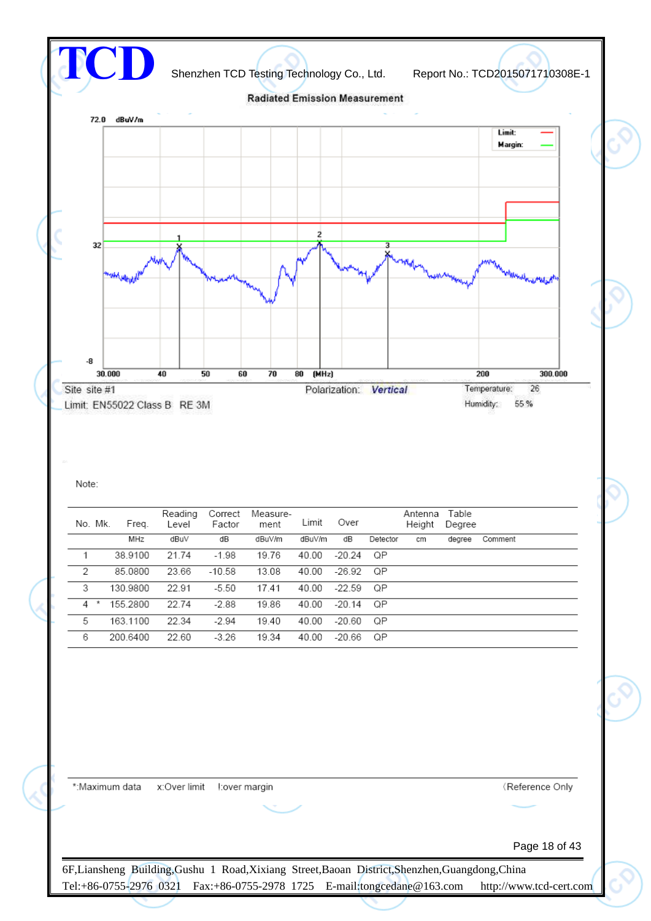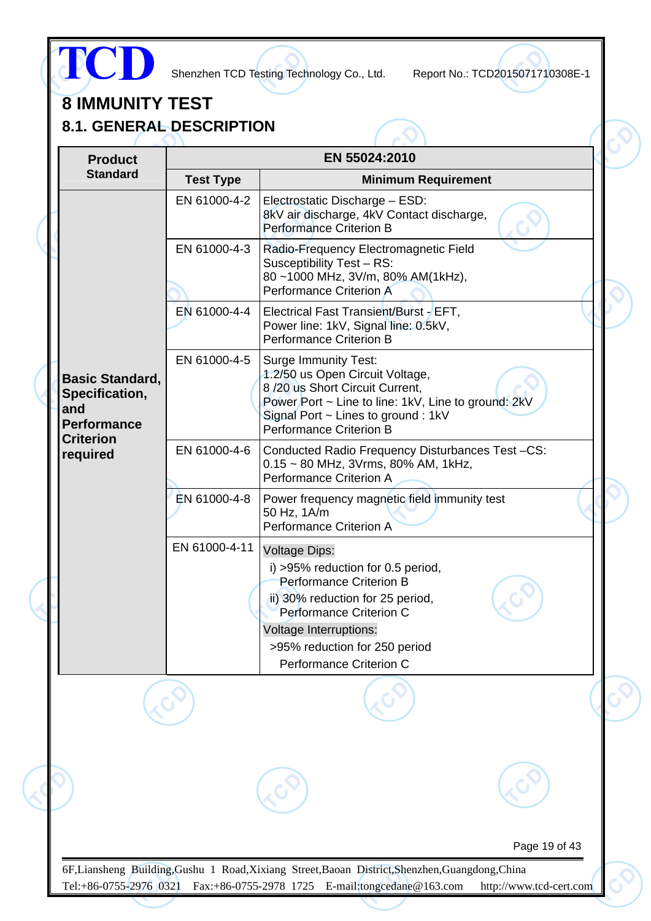

# **8 IMMUNITY TEST**

**8.1. GENERAL DESCRIPTION**

| <b>Test Type</b><br>EN 61000-4-2 | EN 55024:2010<br><b>Minimum Requirement</b><br>Electrostatic Discharge - ESD:                                                                                                                                                         |                                                   |
|----------------------------------|---------------------------------------------------------------------------------------------------------------------------------------------------------------------------------------------------------------------------------------|---------------------------------------------------|
|                                  |                                                                                                                                                                                                                                       |                                                   |
|                                  |                                                                                                                                                                                                                                       |                                                   |
|                                  | 8kV air discharge, 4kV Contact discharge,<br><b>Performance Criterion B</b>                                                                                                                                                           |                                                   |
| EN 61000-4-3                     | Radio-Frequency Electromagnetic Field<br>Susceptibility Test - RS:<br>80~1000 MHz, 3V/m, 80% AM(1kHz),<br><b>Performance Criterion A</b>                                                                                              |                                                   |
| EN 61000-4-4                     | Electrical Fast Transient/Burst - EFT,<br>Power line: 1kV, Signal line: 0.5kV,<br><b>Performance Criterion B</b>                                                                                                                      |                                                   |
| EN 61000-4-5                     | <b>Surge Immunity Test:</b><br>1.2/50 us Open Circuit Voltage,<br>8/20 us Short Circuit Current,<br>Power Port ~ Line to line: 1kV, Line to ground: 2kV<br>Signal Port $\sim$ Lines to ground : 1kV<br><b>Performance Criterion B</b> |                                                   |
| EN 61000-4-6                     | Conducted Radio Frequency Disturbances Test-CS:<br>$0.15 \sim 80$ MHz, 3Vrms, 80% AM, 1kHz,<br><b>Performance Criterion A</b>                                                                                                         |                                                   |
| EN 61000-4-8                     | Power frequency magnetic field immunity test<br>50 Hz, 1A/m<br><b>Performance Criterion A</b>                                                                                                                                         |                                                   |
| EN 61000-4-11                    | <b>Voltage Dips:</b><br>i) >95% reduction for 0.5 period,<br><b>Performance Criterion B</b><br>ii) 30% reduction for 25 period,                                                                                                       |                                                   |
|                                  |                                                                                                                                                                                                                                       |                                                   |
|                                  | >95% reduction for 250 period                                                                                                                                                                                                         |                                                   |
|                                  | Performance Criterion C                                                                                                                                                                                                               |                                                   |
|                                  |                                                                                                                                                                                                                                       |                                                   |
|                                  |                                                                                                                                                                                                                                       |                                                   |
|                                  | Page 19 of 43                                                                                                                                                                                                                         |                                                   |
|                                  |                                                                                                                                                                                                                                       | Performance Criterion C<br>Voltage Interruptions: |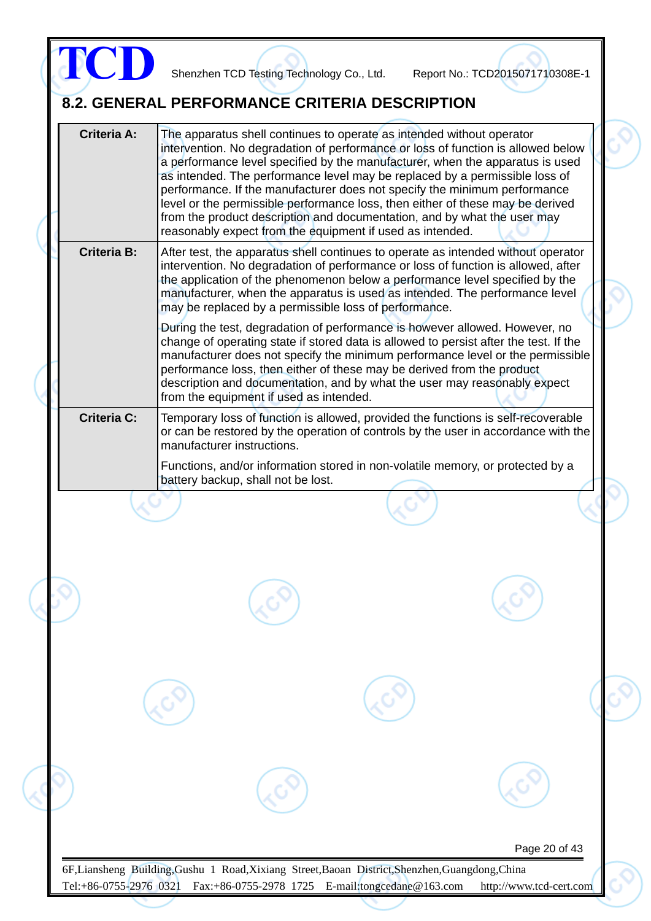|                    |                                         | The apparatus shell continues to operate as intended without operator<br>intervention. No degradation of performance or loss of function is allowed below<br>a performance level specified by the manufacturer, when the apparatus is used<br>as intended. The performance level may be replaced by a permissible loss of<br>performance. If the manufacturer does not specify the minimum performance<br>level or the permissible performance loss, then either of these may be derived<br>from the product description and documentation, and by what the user may<br>reasonably expect from the equipment if used as intended. |  |
|--------------------|-----------------------------------------|-----------------------------------------------------------------------------------------------------------------------------------------------------------------------------------------------------------------------------------------------------------------------------------------------------------------------------------------------------------------------------------------------------------------------------------------------------------------------------------------------------------------------------------------------------------------------------------------------------------------------------------|--|
| <b>Criteria B:</b> |                                         | After test, the apparatus shell continues to operate as intended without operator<br>intervention. No degradation of performance or loss of function is allowed, after<br>the application of the phenomenon below a performance level specified by the<br>manufacturer, when the apparatus is used as intended. The performance level<br>may be replaced by a permissible loss of performance.                                                                                                                                                                                                                                    |  |
|                    | from the equipment if used as intended. | During the test, degradation of performance is however allowed. However, no<br>change of operating state if stored data is allowed to persist after the test. If the<br>manufacturer does not specify the minimum performance level or the permissible<br>performance loss, then either of these may be derived from the product<br>description and documentation, and by what the user may reasonably expect                                                                                                                                                                                                                     |  |
| <b>Criteria C:</b> | manufacturer instructions.              | Temporary loss of function is allowed, provided the functions is self-recoverable<br>or can be restored by the operation of controls by the user in accordance with the                                                                                                                                                                                                                                                                                                                                                                                                                                                           |  |
|                    | battery backup, shall not be lost.      | Functions, and/or information stored in non-volatile memory, or protected by a                                                                                                                                                                                                                                                                                                                                                                                                                                                                                                                                                    |  |
|                    |                                         |                                                                                                                                                                                                                                                                                                                                                                                                                                                                                                                                                                                                                                   |  |
|                    |                                         |                                                                                                                                                                                                                                                                                                                                                                                                                                                                                                                                                                                                                                   |  |
|                    |                                         |                                                                                                                                                                                                                                                                                                                                                                                                                                                                                                                                                                                                                                   |  |
|                    |                                         |                                                                                                                                                                                                                                                                                                                                                                                                                                                                                                                                                                                                                                   |  |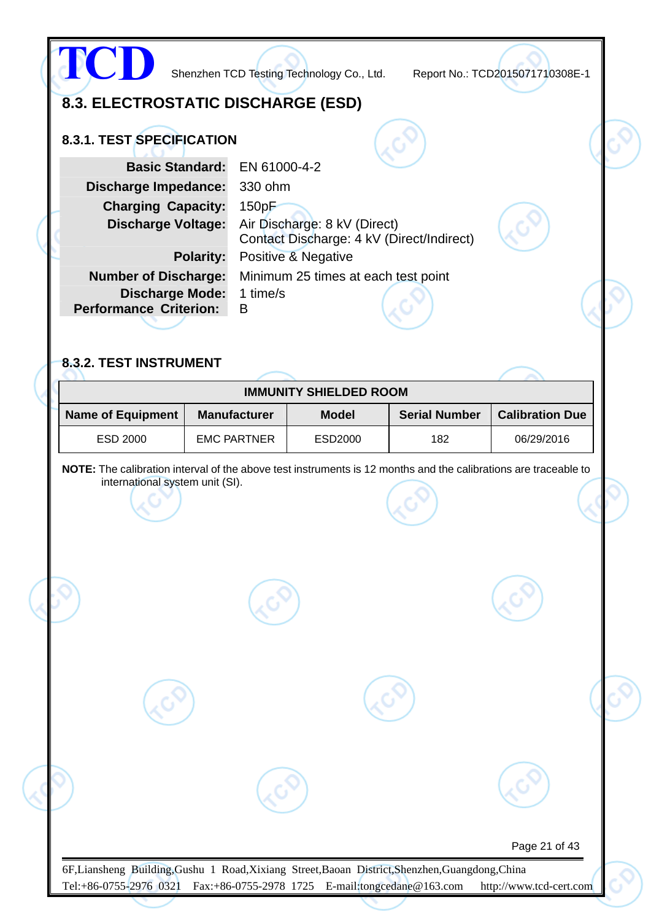| 8.3. ELECTROSTATIC DISCHARGE (ESD)<br>8.3.1. TEST SPECIFICATION                                                                                                                                           |                                                                       |                                                                                            |                                           |                        |
|-----------------------------------------------------------------------------------------------------------------------------------------------------------------------------------------------------------|-----------------------------------------------------------------------|--------------------------------------------------------------------------------------------|-------------------------------------------|------------------------|
| <b>Basic Standard:</b><br><b>Discharge Impedance:</b><br><b>Charging Capacity:</b><br><b>Discharge Voltage:</b><br><b>Number of Discharge:</b><br><b>Discharge Mode:</b><br><b>Performance Criterion:</b> | EN 61000-4-2<br>330 ohm<br>150pF<br><b>Polarity:</b><br>1 time/s<br>B | Air Discharge: 8 kV (Direct)<br>Positive & Negative<br>Minimum 25 times at each test point | Contact Discharge: 4 kV (Direct/Indirect) |                        |
| 8.3.2. TEST INSTRUMENT                                                                                                                                                                                    |                                                                       | <b>IMMUNITY SHIELDED ROOM</b>                                                              |                                           |                        |
| <b>Name of Equipment</b>                                                                                                                                                                                  | <b>Manufacturer</b>                                                   | <b>Model</b>                                                                               | <b>Serial Number</b>                      | <b>Calibration Due</b> |
| NOTE: The calibration interval of the above test instruments is 12 months and the calibrations are traceable to<br>international system unit (SI).                                                        |                                                                       |                                                                                            |                                           |                        |
|                                                                                                                                                                                                           |                                                                       |                                                                                            |                                           |                        |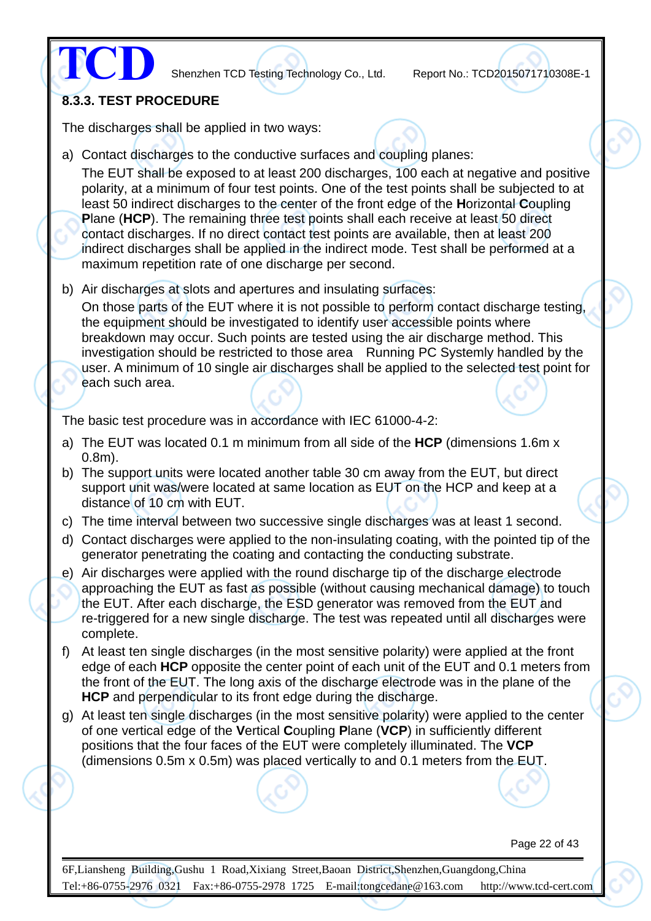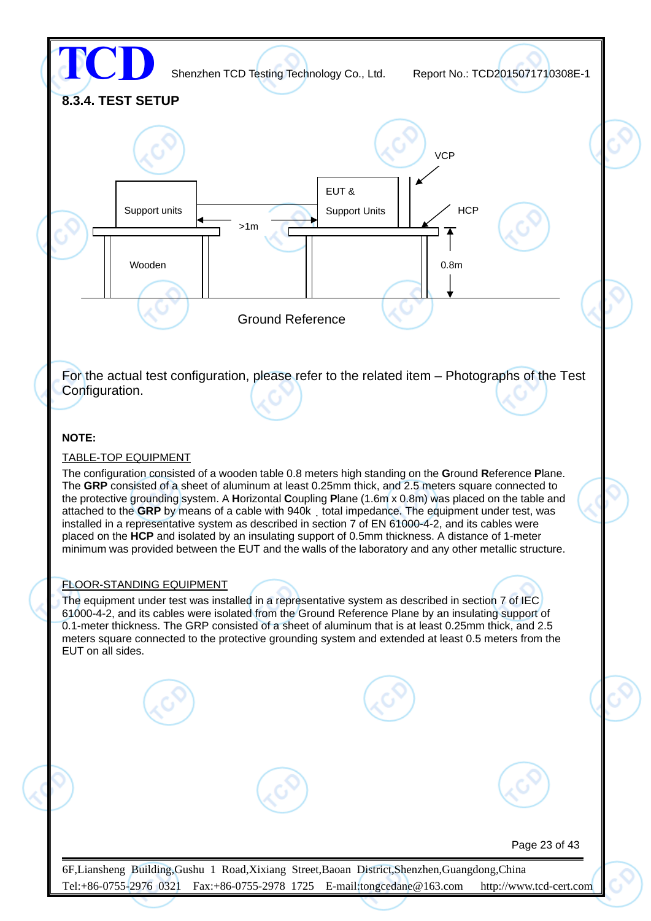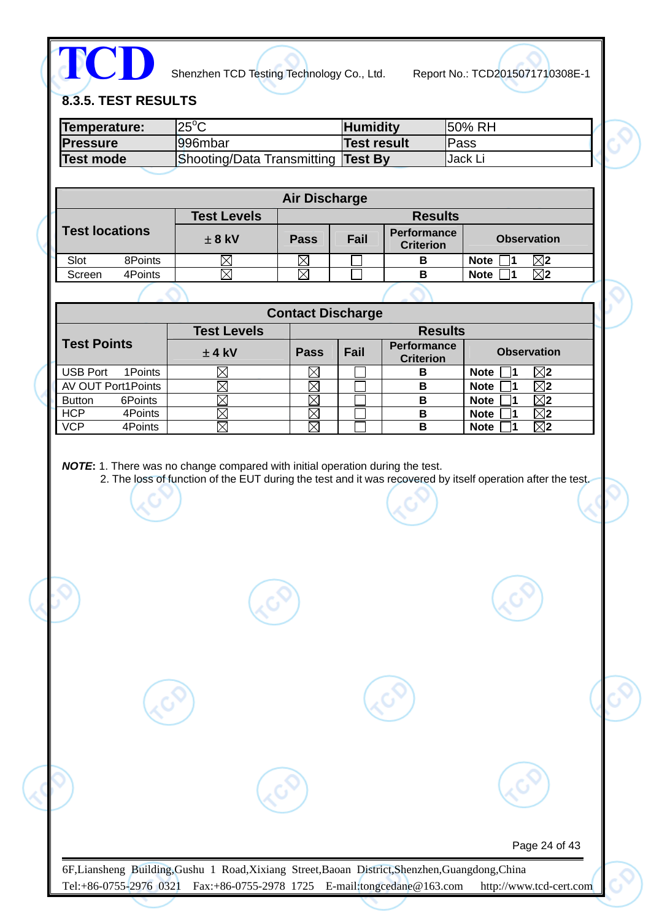

# **8.3.5. TEST RESULTS**

| Temperature:<br><b>Pressure</b> | $25^{\circ}$ C<br>996mbar                                                                                                                                                                                   |                          | <b>Humidity</b><br><b>Test result</b> |                                        | 50% RH<br>Pass             |                              |                          |  |
|---------------------------------|-------------------------------------------------------------------------------------------------------------------------------------------------------------------------------------------------------------|--------------------------|---------------------------------------|----------------------------------------|----------------------------|------------------------------|--------------------------|--|
| <b>Test mode</b>                | Shooting/Data Transmitting Test By                                                                                                                                                                          |                          |                                       |                                        | Jack Li                    |                              |                          |  |
|                                 |                                                                                                                                                                                                             |                          |                                       |                                        |                            |                              |                          |  |
|                                 |                                                                                                                                                                                                             | <b>Air Discharge</b>     |                                       |                                        |                            |                              |                          |  |
|                                 | <b>Test Levels</b>                                                                                                                                                                                          |                          |                                       | <b>Results</b>                         |                            |                              |                          |  |
| <b>Test locations</b>           | $± 8$ kV                                                                                                                                                                                                    | <b>Pass</b>              | Fail                                  | <b>Performance</b><br><b>Criterion</b> |                            |                              | <b>Observation</b>       |  |
| 8Points<br>Slot                 | $\boxtimes$                                                                                                                                                                                                 | $\boxtimes$              |                                       | B                                      | <b>Note</b>                | 1                            | $\boxtimes$              |  |
| 4Points<br>Screen               | $\boxtimes$                                                                                                                                                                                                 | ⊠                        |                                       | B                                      | <b>Note</b>                | 1                            | $\overline{\boxtimes}$   |  |
|                                 |                                                                                                                                                                                                             |                          |                                       |                                        |                            |                              |                          |  |
|                                 | <b>Test Levels</b>                                                                                                                                                                                          | <b>Contact Discharge</b> |                                       | <b>Results</b>                         |                            |                              |                          |  |
| <b>Test Points</b>              | $±$ 4 kV                                                                                                                                                                                                    | <b>Pass</b>              | Fail                                  | <b>Performance</b><br><b>Criterion</b> |                            |                              | <b>Observation</b>       |  |
| 1Points<br><b>USB Port</b>      | $\boxtimes$                                                                                                                                                                                                 | $\boxtimes$              |                                       | B                                      | <b>Note</b>                | 1                            | $\boxtimes$ 2            |  |
| <b>AV OUT Port1Points</b>       | $\boxtimes$                                                                                                                                                                                                 | $\boxtimes$              |                                       | $\, {\bf B}$                           | <b>Note</b>                | $\blacksquare$               | $\overline{\boxtimes}$ 2 |  |
| <b>Button</b><br>6Points        | $\boxtimes$                                                                                                                                                                                                 | $\boxtimes$              |                                       | $\overline{\mathbf{B}}$                | <b>Note</b>                | $\blacksquare$               | $\overline{\boxtimes 2}$ |  |
| <b>HCP</b><br>4Points           | $\boxtimes$                                                                                                                                                                                                 | $\boxtimes$              |                                       | $\, {\bf B}$<br>B                      | <b>Note</b><br><b>Note</b> | 1<br>$\overline{\mathbf{1}}$ | $\boxtimes$ 2            |  |
| 4Points                         | $\boxtimes$<br>NOTE: 1. There was no change compared with initial operation during the test.<br>2. The loss of function of the EUT during the test and it was recovered by itself operation after the test. | $\boxtimes$              |                                       |                                        |                            |                              | $\overline{\boxtimes}$   |  |
|                                 |                                                                                                                                                                                                             |                          |                                       |                                        |                            |                              |                          |  |
| <b>VCP</b>                      |                                                                                                                                                                                                             |                          |                                       |                                        |                            |                              |                          |  |
|                                 |                                                                                                                                                                                                             |                          |                                       |                                        |                            |                              |                          |  |
|                                 |                                                                                                                                                                                                             |                          |                                       |                                        |                            |                              |                          |  |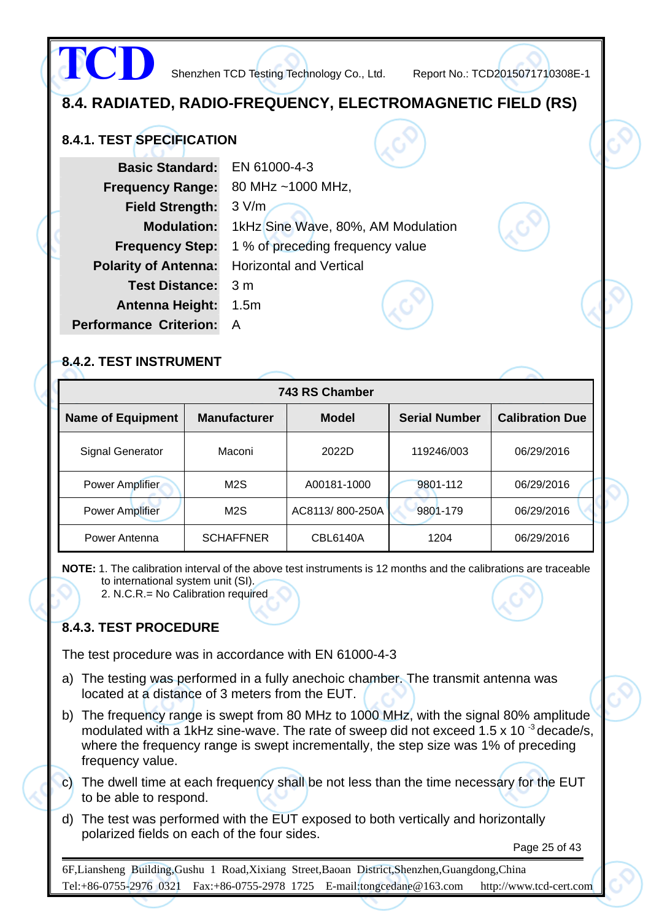**8.4. RADIATED, RADIO-FREQUENCY, ELECTROMAGNETIC FIELD (RS) 8.4.1. TEST SPECIFICATION Basic Standard:** EN 61000-4-3 **Frequency Range:** 80 MHz ~1000 MHz, **Field Strength:** 3 V/m **Modulation:** 1kHz Sine Wave, 80%, AM Modulation **Frequency Step:** 1 % of preceding frequency value **Polarity of Antenna:** Horizontal and Vertical **Test Distance:** 3 m **Antenna Height:** 1.5m **Performance Criterion:** A **TCD** Shenzhen TCD Testing Technology Co., Ltd. Report No.: TCD2015071710308E-1

#### **8.4.2. TEST INSTRUMENT**

|                          |                     | 743 RS Chamber  |                      |                        |
|--------------------------|---------------------|-----------------|----------------------|------------------------|
| <b>Name of Equipment</b> | <b>Manufacturer</b> | <b>Model</b>    | <b>Serial Number</b> | <b>Calibration Due</b> |
| Signal Generator         | Maconi              | 2022D           | 119246/003           | 06/29/2016             |
| <b>Power Amplifier</b>   | M <sub>2</sub> S    | A00181-1000     | 9801-112             | 06/29/2016             |
| <b>Power Amplifier</b>   | M <sub>2</sub> S    | AC8113/800-250A | 9801-179             | 06/29/2016             |
| Power Antenna            | <b>SCHAFFNER</b>    | <b>CBL6140A</b> | 1204                 | 06/29/2016             |

**NOTE:** 1. The calibration interval of the above test instruments is 12 months and the calibrations are traceable to international system unit (SI).

2. N.C.R.= No Calibration required

#### **8.4.3. TEST PROCEDURE**

The test procedure was in accordance with EN 61000-4-3

- a) The testing was performed in a fully anechoic chamber. The transmit antenna was located at a distance of 3 meters from the EUT.
- b) The frequency range is swept from 80 MHz to 1000 MHz, with the signal 80% amplitude modulated with a 1kHz sine-wave. The rate of sweep did not exceed 1.5 x 10  $3$  decade/s, where the frequency range is swept incrementally, the step size was 1% of preceding frequency value.
- c) The dwell time at each frequency shall be not less than the time necessary for the EUT to be able to respond.
- d) The test was performed with the EUT exposed to both vertically and horizontally polarized fields on each of the four sides.

Page 25 of 43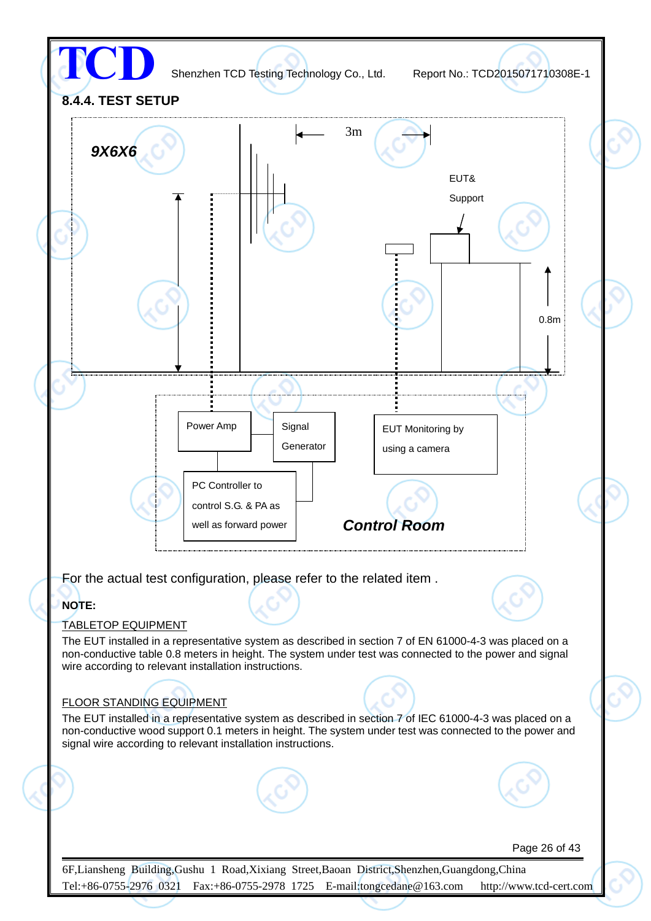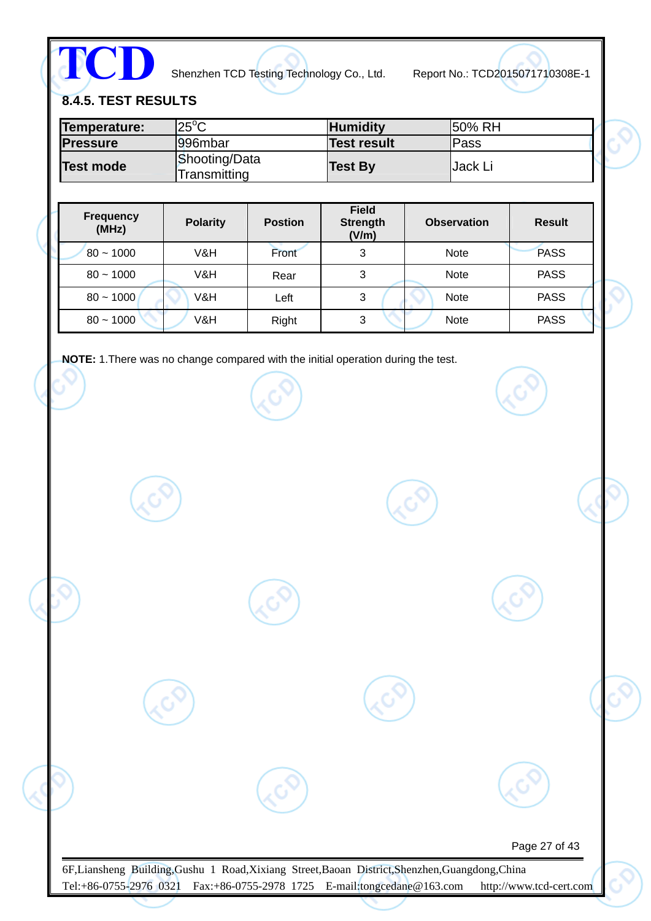**TCD**

Shenzhen TCD Testing Technology Co., Ltd. Report No.: TCD2015071710308E-1

**8.4.5. TEST RESULTS** 

| Temperature:     | $"25^{\circ}$ C               | <b>Humidity</b>    | 150% RH     |
|------------------|-------------------------------|--------------------|-------------|
| <b>Pressure</b>  | 1996mbar                      | <b>Test result</b> | <b>Pass</b> |
| <b>Test mode</b> | Shooting/Data<br>Transmitting | <b>Test By</b>     | Jack Li     |

| Frequency<br>(MHz) | <b>Polarity</b> | <b>Postion</b> | <b>Field</b><br><b>Strength</b><br>(V/m) | <b>Observation</b> | <b>Result</b> |
|--------------------|-----------------|----------------|------------------------------------------|--------------------|---------------|
| $80 - 1000$        | V&H             | Front          | 3                                        | <b>Note</b>        | <b>PASS</b>   |
| $80 - 1000$        | V&H             | Rear           | 3                                        | <b>Note</b>        | <b>PASS</b>   |
| $80 - 1000$        | V&H             | Left           | 3                                        | <b>Note</b>        | <b>PASS</b>   |
| $80 - 1000$        | V&H             | Right          | 3                                        | <b>Note</b>        | <b>PASS</b>   |

**NOTE:** 1.There was no change compared with the initial operation during the test.

| Page 27 of 43 |  |
|---------------|--|
|               |  |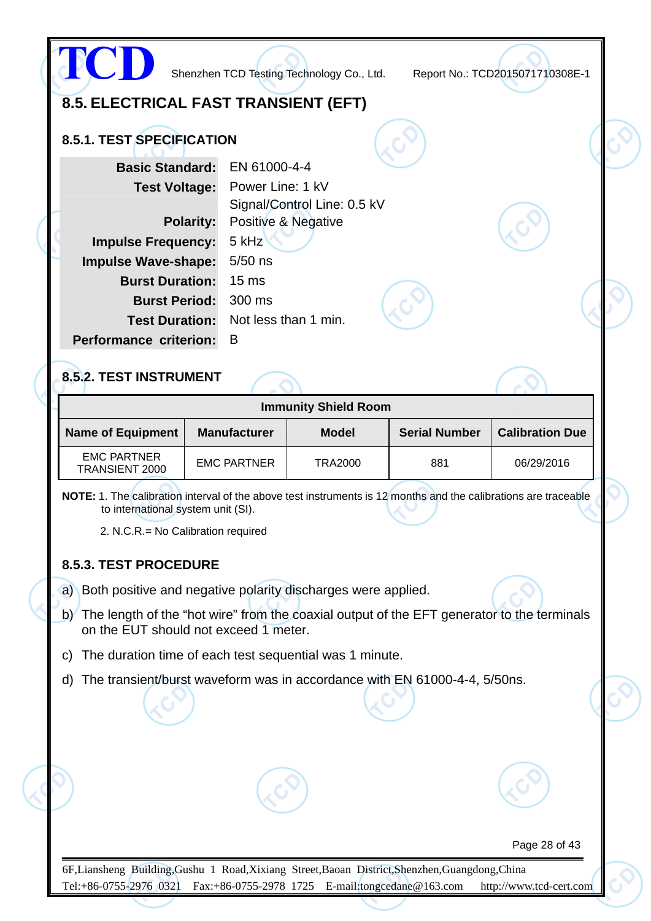|                                      | Shenzhen TCD Testing Technology Co., Ltd.       | Report No.: TCD2015071710308E-1 |  |
|--------------------------------------|-------------------------------------------------|---------------------------------|--|
| 8.5. ELECTRICAL FAST TRANSIENT (EFT) |                                                 |                                 |  |
| 8.5.1. TEST SPECIFICATION            |                                                 |                                 |  |
| <b>Basic Standard:</b>               | EN 61000-4-4                                    |                                 |  |
| <b>Test Voltage:</b>                 | Power Line: 1 kV<br>Signal/Control Line: 0.5 kV |                                 |  |
| <b>Polarity:</b>                     | Positive & Negative                             |                                 |  |
| <b>Impulse Frequency:</b>            | 5 kHz                                           |                                 |  |
| <b>Impulse Wave-shape:</b>           | $5/50$ ns                                       |                                 |  |
| <b>Burst Duration:</b>               | 15 <sub>ms</sub>                                |                                 |  |
| <b>Burst Period:</b>                 | 300 ms                                          |                                 |  |
| <b>Test Duration:</b>                | Not less than 1 min.                            |                                 |  |
| <b>Performance criterion:</b>        | B                                               |                                 |  |
| 8.5.2. TEST INSTRUMENT               |                                                 |                                 |  |
|                                      | <b>Immunity Shield Room</b>                     |                                 |  |

| <b>Name of Equipment</b>             | <b>Manufacturer</b> | <b>Model</b>   | <b>Serial Number</b> | <b>Calibration Due</b> |
|--------------------------------------|---------------------|----------------|----------------------|------------------------|
| <b>EMC PARTNER</b><br>TRANSIENT 2000 | <b>EMC PARTNER</b>  | <b>TRA2000</b> | 881                  | 06/29/2016             |

**NOTE:** 1. The calibration interval of the above test instruments is 12 months and the calibrations are traceable to international system unit (SI).

2. N.C.R.= No Calibration required

#### **8.5.3. TEST PROCEDURE**

a) Both positive and negative polarity discharges were applied.

- b) The length of the "hot wire" from the coaxial output of the EFT generator to the terminals on the EUT should not exceed 1 meter.
- c) The duration time of each test sequential was 1 minute.
- d) The transient/burst waveform was in accordance with EN 61000-4-4, 5/50ns.

Page 28 of 43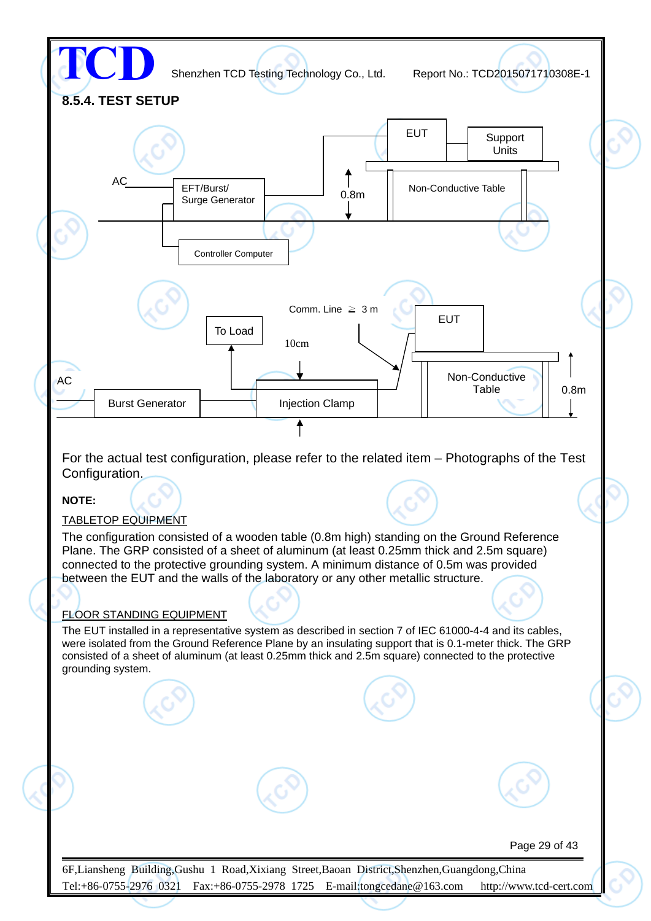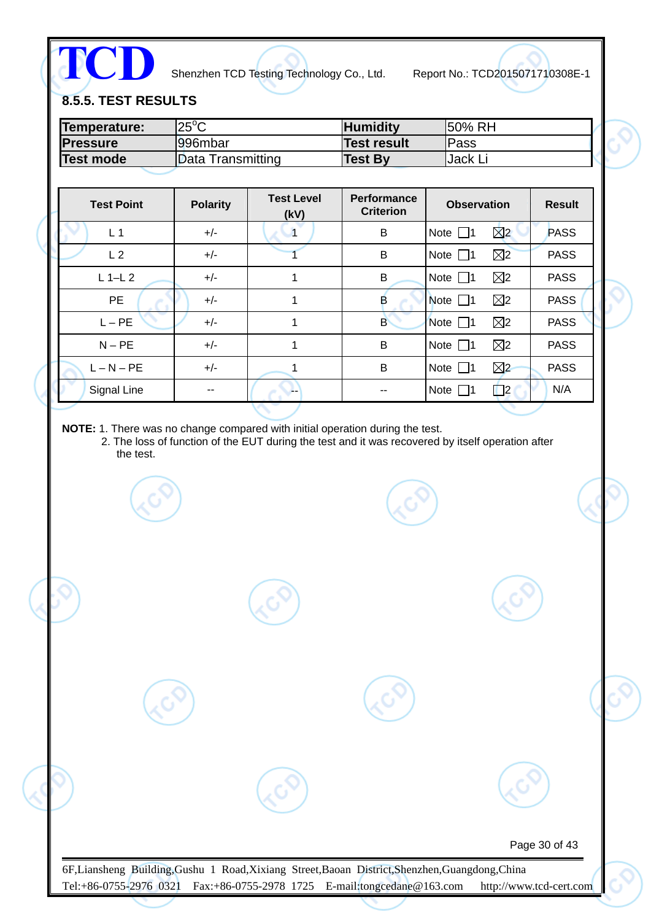**TCD**

Shenzhen TCD Testing Technology Co., Ltd. Report No.: TCD2015071710308E-1

**8.5.5. TEST RESULTS** 

| Temperature:     | $25^{\circ}$ C    | <b>Humidity</b> | 150% RH         |
|------------------|-------------------|-----------------|-----------------|
| <b>Pressure</b>  | 996mbar           | Test result     | <b>Pass</b>     |
| <b>Test mode</b> | Data Transmitting | <b>Test By</b>  | <b>IJack Li</b> |

| <b>Test Point</b> | <b>Polarity</b> | <b>Test Level</b><br>(kV) | Performance<br><b>Criterion</b> | <b>Observation</b>           | <b>Result</b> |
|-------------------|-----------------|---------------------------|---------------------------------|------------------------------|---------------|
| L <sub>1</sub>    | $+/-$           | 1                         | B                               | $\boxtimes$<br>Note $\Box$ 1 | <b>PASS</b>   |
| L <sub>2</sub>    | $+/-$           |                           | B                               | $\boxtimes$<br>Note $\Box$ 1 | <b>PASS</b>   |
| $L$ 1-L 2         | $+/-$           | 1                         | В                               | $\boxtimes$<br>Note $\Box$ 1 | <b>PASS</b>   |
| <b>PE</b>         | $+/-$           | 1                         | в                               | $\boxtimes$<br>Note $\Box$ 1 | <b>PASS</b>   |
| $L - PE$          | $+/-$           | 1                         | B                               | $\boxtimes$<br>Note $\Box$ 1 | <b>PASS</b>   |
| $N - PE$          | $+/-$           | 1                         | B                               | $\boxtimes$<br>Note $\Box$ 1 | <b>PASS</b>   |
| $L - N - PE$      | $+/-$           |                           | B                               | $\boxtimes$<br>Note $\Box$ 1 | <b>PASS</b>   |
| Signal Line       | --              | --                        |                                 | $\Box$ 2<br>Note $\Box$ 1    | N/A           |

**NOTE:** 1. There was no change compared with initial operation during the test.

2. The loss of function of the EUT during the test and it was recovered by itself operation after the test.

Page 30 of 43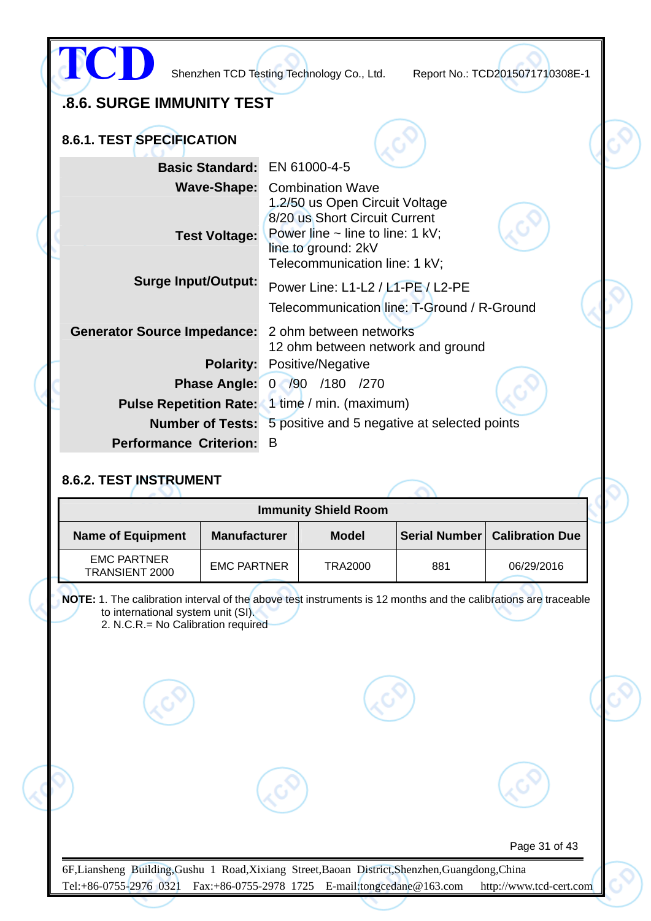|                                                                      |   | Shenzhen TCD Testing Technology Co., Ltd.                                                                                                                              | Report No.: TCD2015071710308E-1 |  |
|----------------------------------------------------------------------|---|------------------------------------------------------------------------------------------------------------------------------------------------------------------------|---------------------------------|--|
| .8.6. SURGE IMMUNITY TEST                                            |   |                                                                                                                                                                        |                                 |  |
| 8.6.1. TEST SPECIFICATION                                            |   |                                                                                                                                                                        |                                 |  |
| Basic Standard: EN 61000-4-5                                         |   |                                                                                                                                                                        |                                 |  |
| <b>Test Voltage:</b>                                                 |   | <b>Wave-Shape:</b> Combination Wave<br>1.2/50 us Open Circuit Voltage<br>8/20 us Short Circuit Current<br>Power line $\sim$ line to line: 1 kV;<br>line to ground: 2kV |                                 |  |
|                                                                      |   | Telecommunication line: 1 kV;                                                                                                                                          |                                 |  |
| <b>Surge Input/Output:</b>                                           |   | Power Line: L1-L2 / L1-PE / L2-PE<br>Telecommunication line: T-Ground / R-Ground                                                                                       |                                 |  |
| <b>Generator Source Impedance:</b>                                   |   | 2 ohm between networks<br>12 ohm between network and ground                                                                                                            |                                 |  |
| <b>Polarity:</b>                                                     |   | Positive/Negative                                                                                                                                                      |                                 |  |
|                                                                      |   | Phase Angle: 0 /90 /180 /270                                                                                                                                           |                                 |  |
| <b>Pulse Repetition Rate:</b> 1 time / min. (maximum)                |   |                                                                                                                                                                        |                                 |  |
| <b>Number of Tests:</b> 5 positive and 5 negative at selected points |   |                                                                                                                                                                        |                                 |  |
| <b>Performance Criterion:</b>                                        | B |                                                                                                                                                                        |                                 |  |
| 8.6.2. TEST INSTRUMENT                                               |   |                                                                                                                                                                        |                                 |  |
|                                                                      |   | <b>Immunity Shield Room</b>                                                                                                                                            |                                 |  |
| <b>Name of Equipment</b><br><b>Manufacturer</b>                      |   | <b>Model</b>                                                                                                                                                           | Serial Number   Calibration Due |  |

**NOTE:** 1. The calibration interval of the above test instruments is 12 months and the calibrations are traceable to international system unit (SI).

2. N.C.R.= No Calibration required

EMC PARTNER TRANSIENT 2000

EMC PARTNER | TRA2000 | 881 | 06/29/2016

Page 31 of 43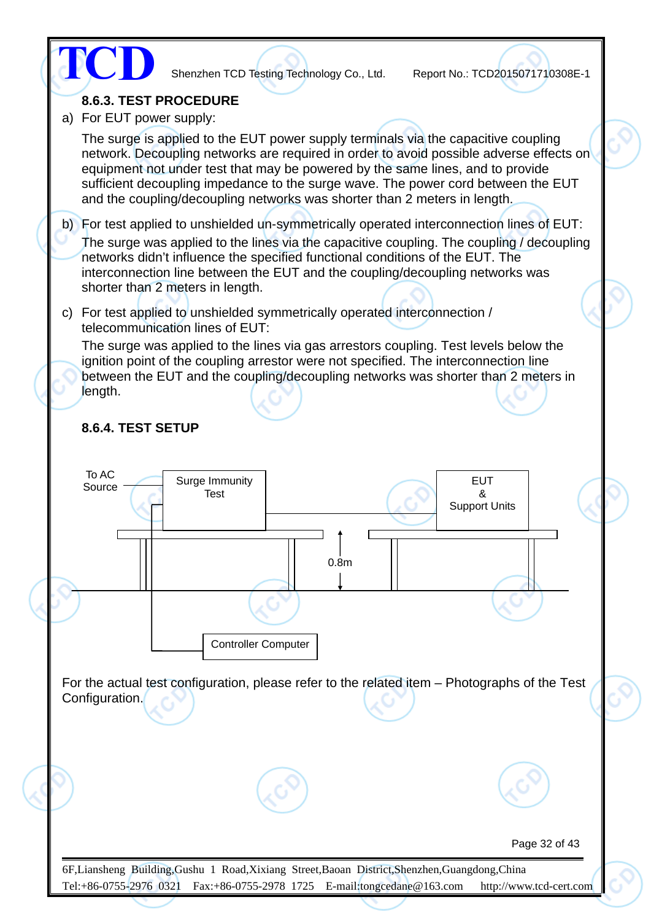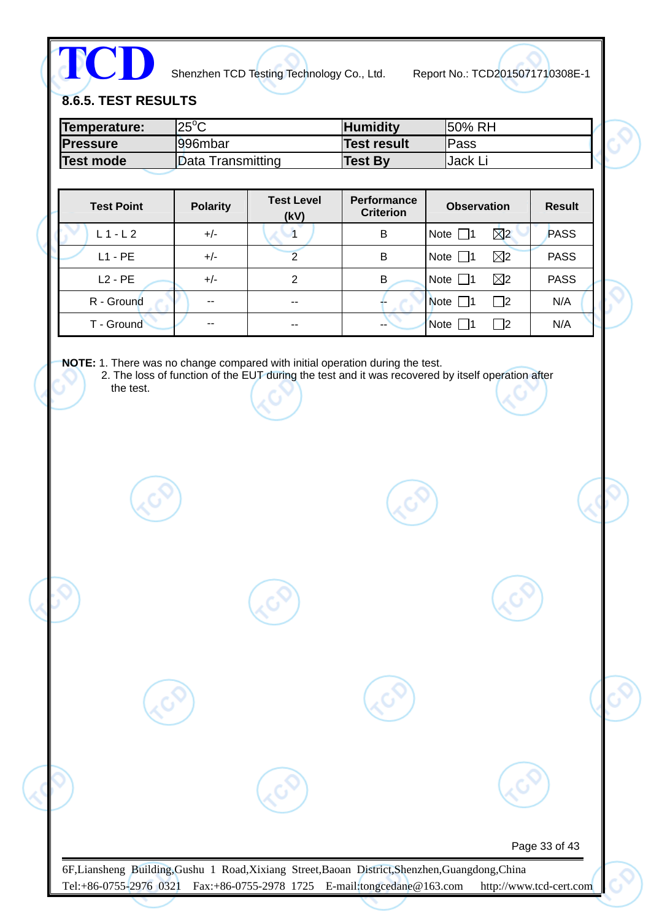**TCD**

Shenzhen TCD Testing Technology Co., Ltd. Report No.: TCD2015071710308E-1

**8.6.5. TEST RESULTS** 

| Temperature:     | $25^{\circ}$ C    | <b>Humidity</b> | 150% RH  |
|------------------|-------------------|-----------------|----------|
| <b>Pressure</b>  | l996mbar          | Test result     | lPass    |
| <b>Test mode</b> | Data Transmitting | <b>Test By</b>  | IJack Li |

| <b>Test Point</b> | <b>Polarity</b> | <b>Test Level</b><br>(kV) | <b>Performance</b><br><b>Criterion</b> | <b>Observation</b>           | <b>Result</b> |
|-------------------|-----------------|---------------------------|----------------------------------------|------------------------------|---------------|
| $L1-L2$           | $+/-$           |                           | B                                      | $\boxtimes$<br>Note $\Box$ 1 | PASS          |
| $L1 - PE$         | $+/-$           |                           | B                                      | $\boxtimes$<br>Note $\Box$ 1 | <b>PASS</b>   |
| $L2 - PE$         | $+/-$           | 2                         | В                                      | $\boxtimes$<br>Note $\Box$ 1 | <b>PASS</b>   |
| R - Ground        | --              | $-$                       |                                        | Note $\Box$ 1<br>$\Box$ 2    | N/A           |
| T - Ground        | --              | --                        | $-$                                    | <b>Note</b><br> 2            | N/A           |

**NOTE:** 1. There was no change compared with initial operation during the test.

2. The loss of function of the EUT during the test and it was recovered by itself operation after the test.

Page 33 of 43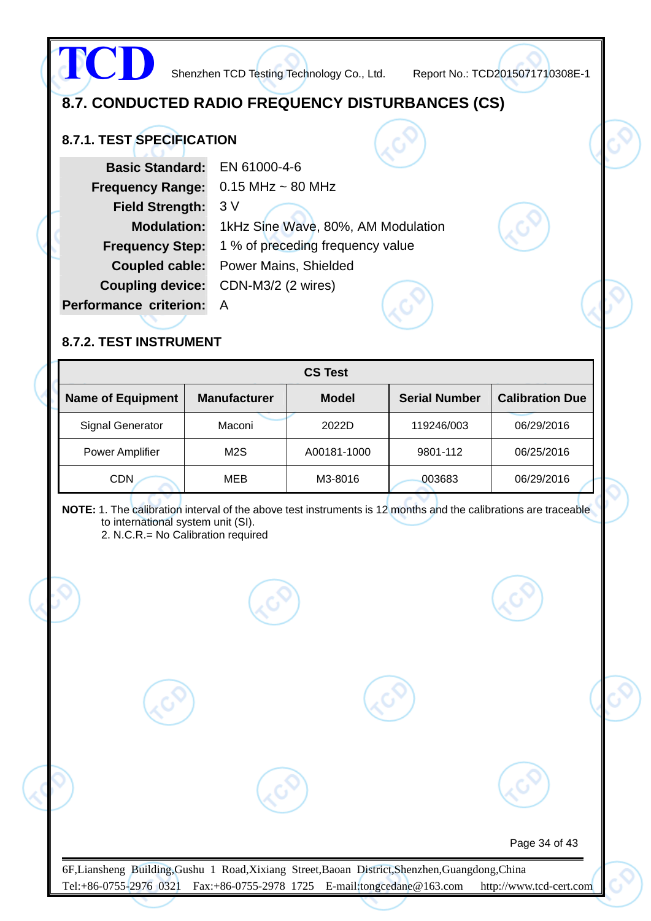## **8.7. CONDUCTED RADIO FREQUENCY DISTURBANCES (CS)**

### **8.7.1. TEST SPECIFICATION**

**TCD**

| <b>Basic Standard:</b>        | EN 61000-4-6                       |  |  |
|-------------------------------|------------------------------------|--|--|
| <b>Frequency Range:</b>       | $0.15$ MHz $\sim$ 80 MHz           |  |  |
| <b>Field Strength:</b>        | 3V                                 |  |  |
| <b>Modulation:</b>            | 1kHz Sine Wave, 80%, AM Modulation |  |  |
| <b>Frequency Step:</b>        | 1 % of preceding frequency value   |  |  |
| Coupled cable:                | <b>Power Mains, Shielded</b>       |  |  |
| <b>Coupling device:</b>       | CDN-M3/2 (2 wires)                 |  |  |
| <b>Performance criterion:</b> |                                    |  |  |
|                               |                                    |  |  |

#### **8.7.2. TEST INSTRUMENT**

|                          |                     | <b>CS Test</b> |                      |                        |
|--------------------------|---------------------|----------------|----------------------|------------------------|
| <b>Name of Equipment</b> | <b>Manufacturer</b> | <b>Model</b>   | <b>Serial Number</b> | <b>Calibration Due</b> |
| <b>Signal Generator</b>  | Maconi              | 2022D          | 119246/003           | 06/29/2016             |
| <b>Power Amplifier</b>   | M2S                 | A00181-1000    | 9801-112             | 06/25/2016             |
| <b>CDN</b>               | <b>MEB</b>          | M3-8016        | 003683               | 06/29/2016             |

**NOTE:** 1. The calibration interval of the above test instruments is 12 months and the calibrations are traceable to international system unit (SI).

2. N.C.R.= No Calibration required

Page 34 of 43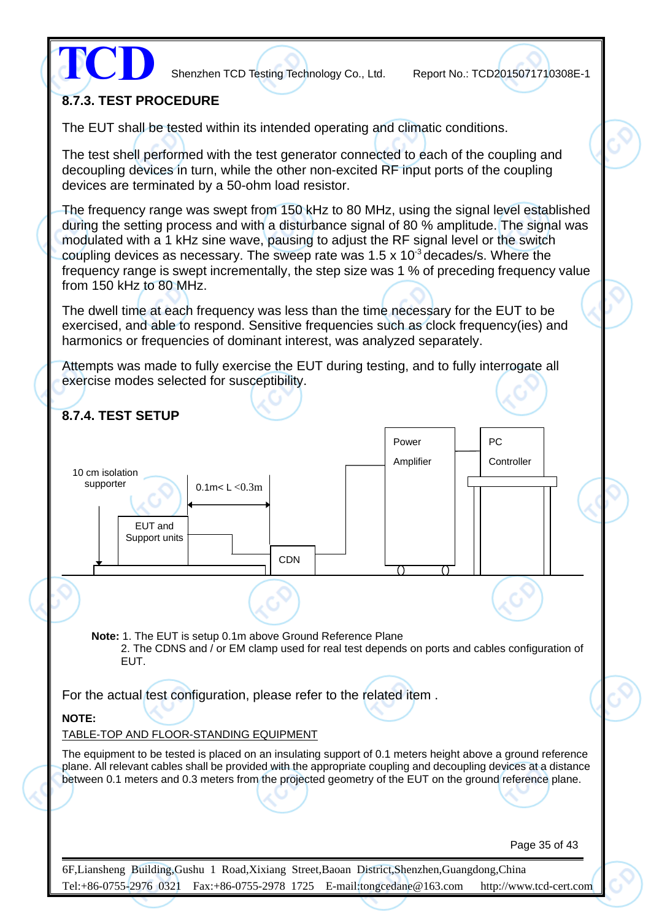

### **8.7.3. TEST PROCEDURE**

The EUT shall be tested within its intended operating and climatic conditions.

The test shell performed with the test generator connected to each of the coupling and decoupling devices in turn, while the other non-excited RF input ports of the coupling devices are terminated by a 50-ohm load resistor.

The frequency range was swept from 150 kHz to 80 MHz, using the signal level established during the setting process and with a disturbance signal of 80 % amplitude. The signal was modulated with a 1 kHz sine wave, pausing to adjust the RF signal level or the switch coupling devices as necessary. The sweep rate was  $1.5 \times 10^{-3}$  decades/s. Where the frequency range is swept incrementally, the step size was 1 % of preceding frequency value from 150 kHz to 80 MHz.

The dwell time at each frequency was less than the time necessary for the EUT to be exercised, and able to respond. Sensitive frequencies such as clock frequency(ies) and harmonics or frequencies of dominant interest, was analyzed separately.

Attempts was made to fully exercise the EUT during testing, and to fully interrogate all exercise modes selected for susceptibility.

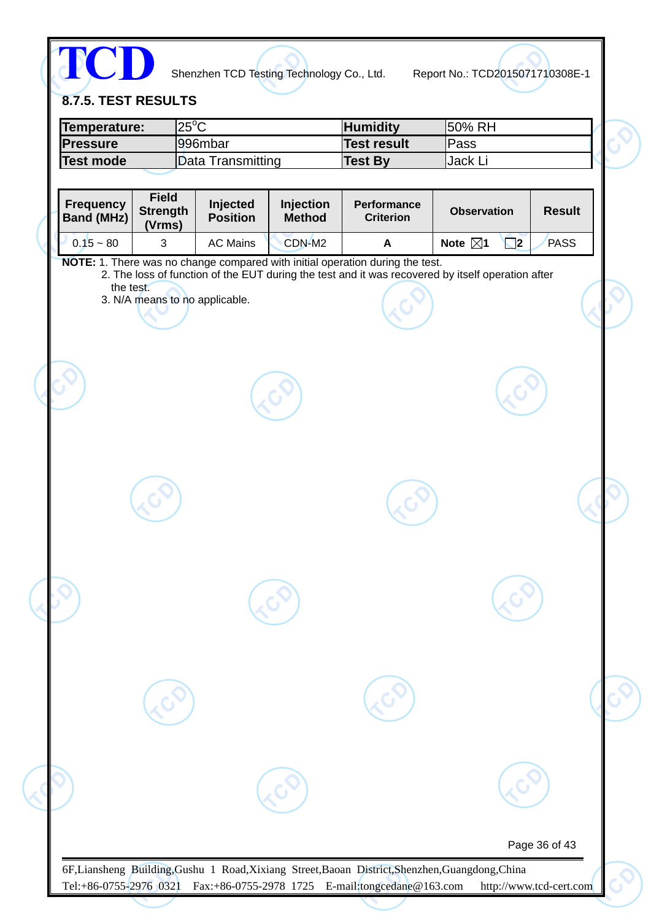

**8.7.5. TEST RESULTS** 

| lTemperature:    | $25^{\circ}$ C    | <b>Humidity</b> | 150% RH  |  |
|------------------|-------------------|-----------------|----------|--|
| <b>IPressure</b> | l996mbar          | Test result     | lPass    |  |
| Test mode        | Data Transmitting | Test Bv         | ,Jack Li |  |

| (Vrms)<br>$0.15 - 80$<br>$\mathfrak{S}$<br><b>AC Mains</b><br>CDN-M2<br>NOTE: 1. There was no change compared with initial operation during the test.<br>the test.<br>3. N/A means to no applicable. | <b>PASS</b><br>Note $\boxtimes$ 1<br>$\Box$ 2<br>A<br>2. The loss of function of the EUT during the test and it was recovered by itself operation after |
|------------------------------------------------------------------------------------------------------------------------------------------------------------------------------------------------------|---------------------------------------------------------------------------------------------------------------------------------------------------------|
|                                                                                                                                                                                                      |                                                                                                                                                         |
|                                                                                                                                                                                                      |                                                                                                                                                         |
|                                                                                                                                                                                                      |                                                                                                                                                         |
|                                                                                                                                                                                                      |                                                                                                                                                         |
|                                                                                                                                                                                                      |                                                                                                                                                         |
|                                                                                                                                                                                                      |                                                                                                                                                         |
|                                                                                                                                                                                                      |                                                                                                                                                         |
|                                                                                                                                                                                                      |                                                                                                                                                         |
|                                                                                                                                                                                                      |                                                                                                                                                         |
|                                                                                                                                                                                                      |                                                                                                                                                         |
|                                                                                                                                                                                                      |                                                                                                                                                         |
|                                                                                                                                                                                                      |                                                                                                                                                         |
|                                                                                                                                                                                                      |                                                                                                                                                         |
|                                                                                                                                                                                                      |                                                                                                                                                         |
|                                                                                                                                                                                                      |                                                                                                                                                         |
|                                                                                                                                                                                                      |                                                                                                                                                         |
|                                                                                                                                                                                                      |                                                                                                                                                         |
|                                                                                                                                                                                                      |                                                                                                                                                         |
|                                                                                                                                                                                                      |                                                                                                                                                         |
|                                                                                                                                                                                                      |                                                                                                                                                         |
|                                                                                                                                                                                                      |                                                                                                                                                         |
|                                                                                                                                                                                                      |                                                                                                                                                         |
|                                                                                                                                                                                                      |                                                                                                                                                         |
|                                                                                                                                                                                                      |                                                                                                                                                         |
|                                                                                                                                                                                                      |                                                                                                                                                         |
| 6F,Liansheng Building,Gushu 1 Road,Xixiang Street,Baoan District,Shenzhen,Guangdong,China                                                                                                            | Page 36 of 43                                                                                                                                           |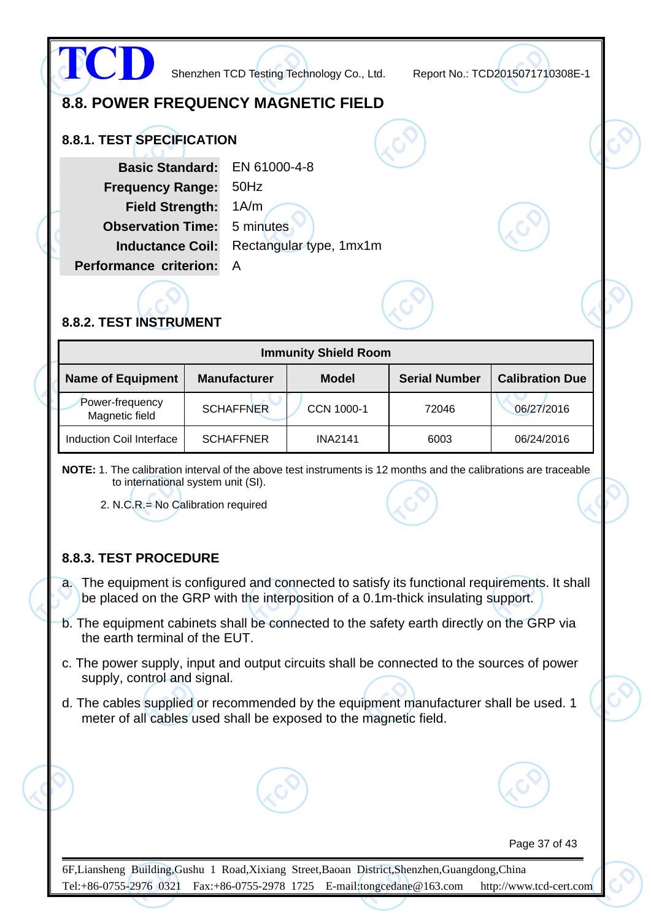

#### **8.8.2. TEST INSTRUMENT**

| <b>Immunity Shield Room</b>       |                     |                |                      |                        |  |  |  |  |  |
|-----------------------------------|---------------------|----------------|----------------------|------------------------|--|--|--|--|--|
| <b>Name of Equipment</b>          | <b>Manufacturer</b> | <b>Model</b>   | <b>Serial Number</b> | <b>Calibration Due</b> |  |  |  |  |  |
| Power-frequency<br>Magnetic field | <b>SCHAFFNER</b>    | CCN 1000-1     | 72046                | 06/27/2016             |  |  |  |  |  |
| Induction Coil Interface          | <b>SCHAFFNER</b>    | <b>INA2141</b> | 6003                 | 06/24/2016             |  |  |  |  |  |

**NOTE:** 1. The calibration interval of the above test instruments is 12 months and the calibrations are traceable to international system unit (SI).

2. N.C.R.= No Calibration required

#### **8.8.3. TEST PROCEDURE**

a. The equipment is configured and connected to satisfy its functional requirements. It shall be placed on the GRP with the interposition of a 0.1m-thick insulating support.

- b. The equipment cabinets shall be connected to the safety earth directly on the GRP via the earth terminal of the EUT.
- c. The power supply, input and output circuits shall be connected to the sources of power supply, control and signal.
- d. The cables supplied or recommended by the equipment manufacturer shall be used. 1 meter of all cables used shall be exposed to the magnetic field.

Page 37 of 43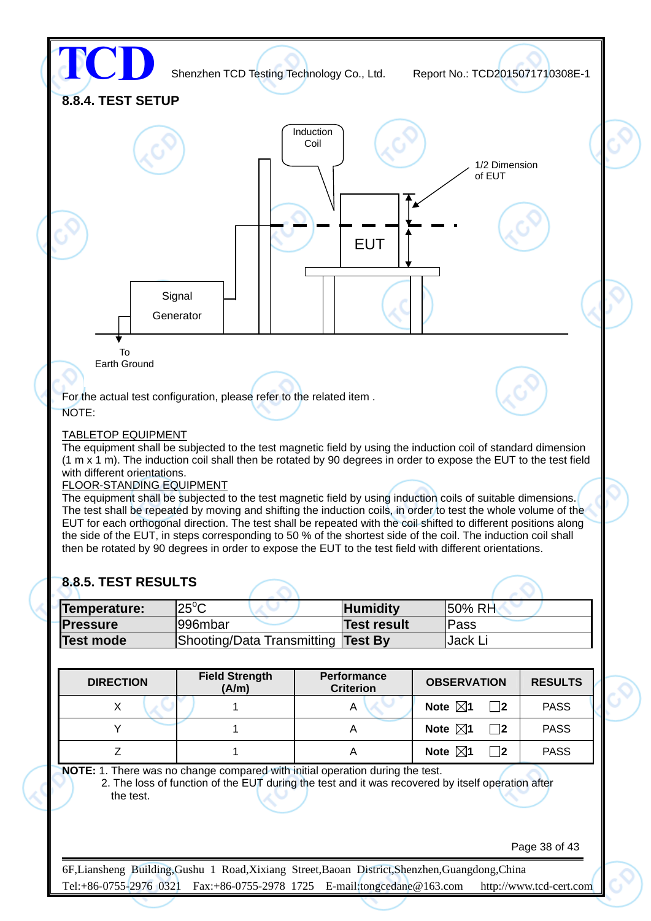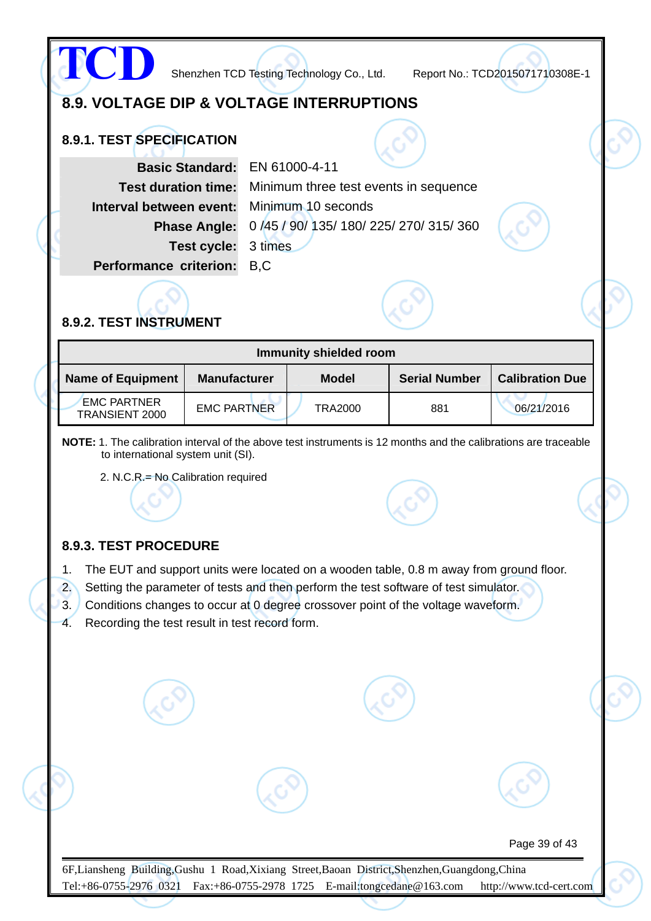

#### **8.9.3. TEST PROCEDURE**

- 1. The EUT and support units were located on a wooden table, 0.8 m away from ground floor.
- 2. Setting the parameter of tests and then perform the test software of test simulator.
- 3. Conditions changes to occur at 0 degree crossover point of the voltage waveform.
- 4. Recording the test result in test record form.

Page 39 of 43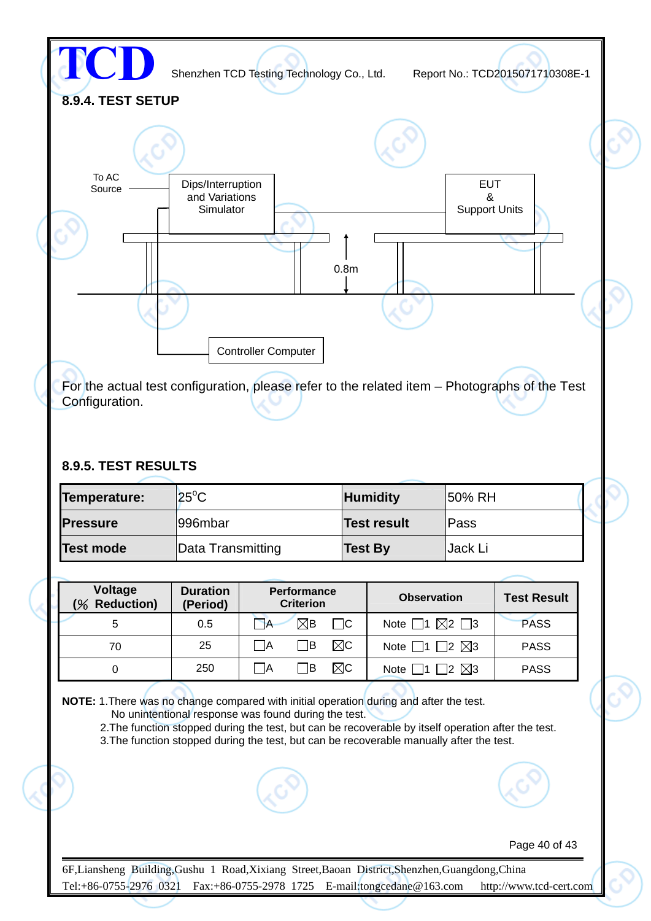

For the actual test configuration, please refer to the related item – Photographs of the Test Configuration.

#### **8.9.5. TEST RESULTS**

| Temperature:     | $ 25^{\circ}$ C   | <b>Humidity</b>    | <b>50% RH</b> |  |
|------------------|-------------------|--------------------|---------------|--|
| <b>Pressure</b>  | 1996mbar          | <b>Test result</b> | lPass         |  |
| <b>Test mode</b> | Data Transmitting | <b>Test By</b>     | Jack Li       |  |

| Voltage<br><b>Reduction)</b><br>$\%$ | <b>Duration</b><br>(Period) | <b>Performance</b><br><b>Criterion</b> | <b>Observation</b>                      | <b>Test Result</b> |
|--------------------------------------|-----------------------------|----------------------------------------|-----------------------------------------|--------------------|
| 5                                    | 0.5                         | $\nabla B$<br>⊟C<br>$\rightarrow$      | $\boxtimes$ 2 $\Box$ 3<br>Note $\Box$ 1 | <b>PASS</b>        |
| 70                                   | 25                          | $\boxtimes$ c<br> B <br>-lA            | $\boxtimes$ 3<br>Note $\Box$ 1 $\Box$ 2 | <b>PASS</b>        |
|                                      | 250                         | ⊠c<br>1B<br>ΙA                         | $\boxtimes$ 3<br>12<br>Note $\Box$      | <b>PASS</b>        |

**NOTE:** 1.There was no change compared with initial operation during and after the test.

No unintentional response was found during the test.

2. The function stopped during the test, but can be recoverable by itself operation after the test.

3.The function stopped during the test, but can be recoverable manually after the test.



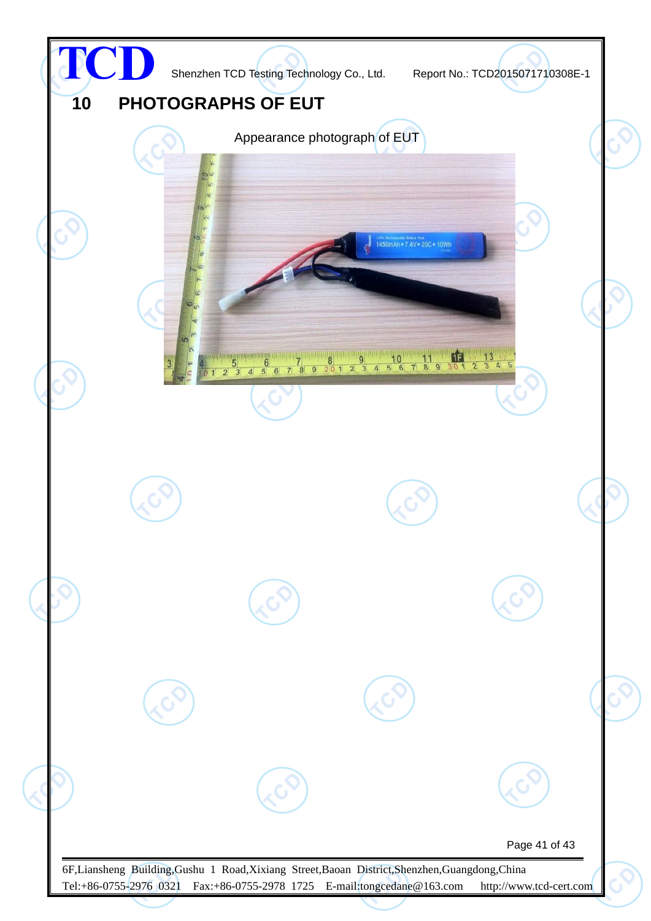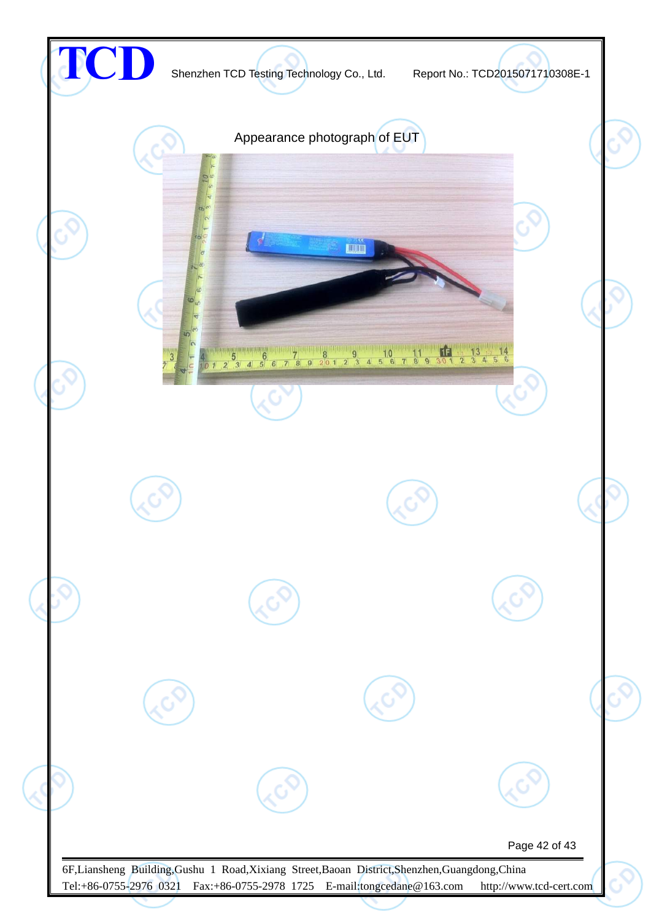